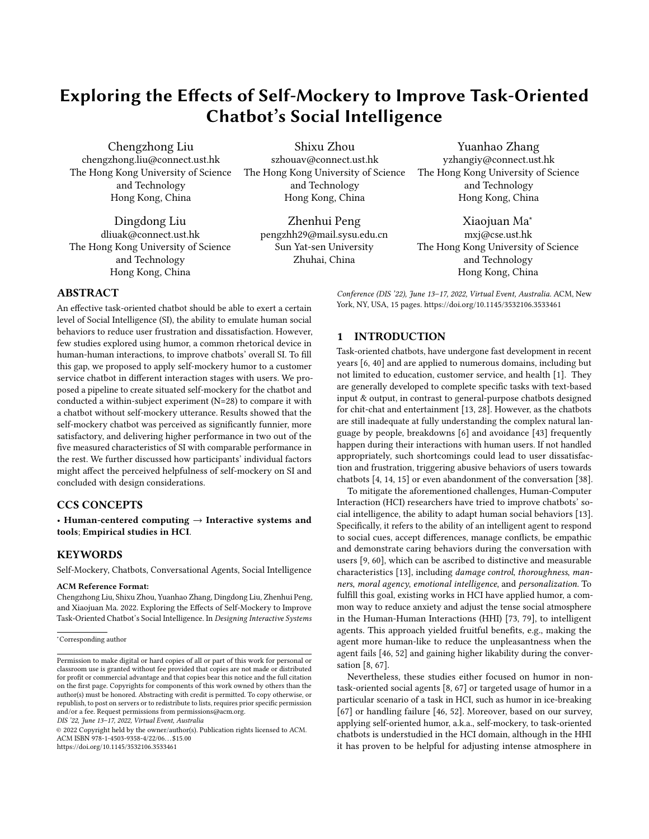# Exploring the Effects of Self-Mockery to Improve Task-Oriented Chatbot's Social Intelligence

Chengzhong Liu chengzhong.liu@connect.ust.hk The Hong Kong University of Science and Technology Hong Kong, China

Dingdong Liu dliuak@connect.ust.hk The Hong Kong University of Science and Technology Hong Kong, China

Shixu Zhou szhouav@connect.ust.hk The Hong Kong University of Science and Technology Hong Kong, China

> Zhenhui Peng pengzhh29@mail.sysu.edu.cn Sun Yat-sen University Zhuhai, China

Yuanhao Zhang yzhangiy@connect.ust.hk The Hong Kong University of Science and Technology Hong Kong, China

Xiaojuan Ma<sup>∗</sup> mxj@cse.ust.hk The Hong Kong University of Science and Technology Hong Kong, China

Conference (DIS '22), June 13-17, 2022, Virtual Event, Australia. ACM, New York, NY, USA, [15](#page-14-0) pages.<https://doi.org/10.1145/3532106.3533461>

# ABSTRACT

An effective task-oriented chatbot should be able to exert a certain level of Social Intelligence (SI), the ability to emulate human social behaviors to reduce user frustration and dissatisfaction. However, few studies explored using humor, a common rhetorical device in human-human interactions, to improve chatbots' overall SI. To fill this gap, we proposed to apply self-mockery humor to a customer service chatbot in different interaction stages with users. We proposed a pipeline to create situated self-mockery for the chatbot and conducted a within-subject experiment (N=28) to compare it with a chatbot without self-mockery utterance. Results showed that the self-mockery chatbot was perceived as significantly funnier, more satisfactory, and delivering higher performance in two out of the five measured characteristics of SI with comparable performance in the rest. We further discussed how participants' individual factors might affect the perceived helpfulness of self-mockery on SI and concluded with design considerations.

# CCS CONCEPTS

• Human-centered computing  $\rightarrow$  Interactive systems and tools; Empirical studies in HCI.

# **KEYWORDS**

Self-Mockery, Chatbots, Conversational Agents, Social Intelligence

#### ACM Reference Format:

Chengzhong Liu, Shixu Zhou, Yuanhao Zhang, Dingdong Liu, Zhenhui Peng, and Xiaojuan Ma. 2022. Exploring the Effects of Self-Mockery to Improve Task-Oriented Chatbot's Social Intelligence. In Designing Interactive Systems

DIS '22, June 13–17, 2022, Virtual Event, Australia

© 2022 Copyright held by the owner/author(s). Publication rights licensed to ACM. ACM ISBN 978-1-4503-9358-4/22/06. . . \$15.00 <https://doi.org/10.1145/3532106.3533461>

#### 1 INTRODUCTION

Task-oriented chatbots, have undergone fast development in recent years [\[6,](#page-12-0) [40\]](#page-13-0) and are applied to numerous domains, including but not limited to education, customer service, and health [\[1\]](#page-12-1). They are generally developed to complete specific tasks with text-based input & output, in contrast to general-purpose chatbots designed for chit-chat and entertainment [\[13,](#page-12-2) [28\]](#page-13-1). However, as the chatbots are still inadequate at fully understanding the complex natural language by people, breakdowns [\[6\]](#page-12-0) and avoidance [\[43\]](#page-13-2) frequently happen during their interactions with human users. If not handled appropriately, such shortcomings could lead to user dissatisfaction and frustration, triggering abusive behaviors of users towards chatbots [\[4,](#page-12-3) [14,](#page-12-4) [15\]](#page-12-5) or even abandonment of the conversation [\[38\]](#page-13-3).

To mitigate the aforementioned challenges, Human-Computer Interaction (HCI) researchers have tried to improve chatbots' social intelligence, the ability to adapt human social behaviors [\[13\]](#page-12-2). Specifically, it refers to the ability of an intelligent agent to respond to social cues, accept differences, manage conflicts, be empathic and demonstrate caring behaviors during the conversation with users [\[9,](#page-12-6) [60\]](#page-14-1), which can be ascribed to distinctive and measurable characteristics [\[13\]](#page-12-2), including damage control, thoroughness, manners, moral agency, emotional intelligence, and personalization. To fulfill this goal, existing works in HCI have applied humor, a common way to reduce anxiety and adjust the tense social atmosphere in the Human-Human Interactions (HHI) [\[73,](#page-14-2) [79\]](#page-14-3), to intelligent agents. This approach yielded fruitful benefits, e.g., making the agent more human-like to reduce the unpleasantness when the agent fails [\[46,](#page-13-4) [52\]](#page-13-5) and gaining higher likability during the conversation [\[8,](#page-12-7) [67\]](#page-14-4).

Nevertheless, these studies either focused on humor in nontask-oriented social agents [\[8,](#page-12-7) [67\]](#page-14-4) or targeted usage of humor in a particular scenario of a task in HCI, such as humor in ice-breaking [\[67\]](#page-14-4) or handling failure [\[46,](#page-13-4) [52\]](#page-13-5). Moreover, based on our survey, applying self-oriented humor, a.k.a., self-mockery, to task-oriented chatbots is understudied in the HCI domain, although in the HHI it has proven to be helpful for adjusting intense atmosphere in

<sup>∗</sup>Corresponding author

Permission to make digital or hard copies of all or part of this work for personal or classroom use is granted without fee provided that copies are not made or distributed for profit or commercial advantage and that copies bear this notice and the full citation on the first page. Copyrights for components of this work owned by others than the author(s) must be honored. Abstracting with credit is permitted. To copy otherwise, or republish, to post on servers or to redistribute to lists, requires prior specific permission and/or a fee. Request permissions from permissions@acm.org.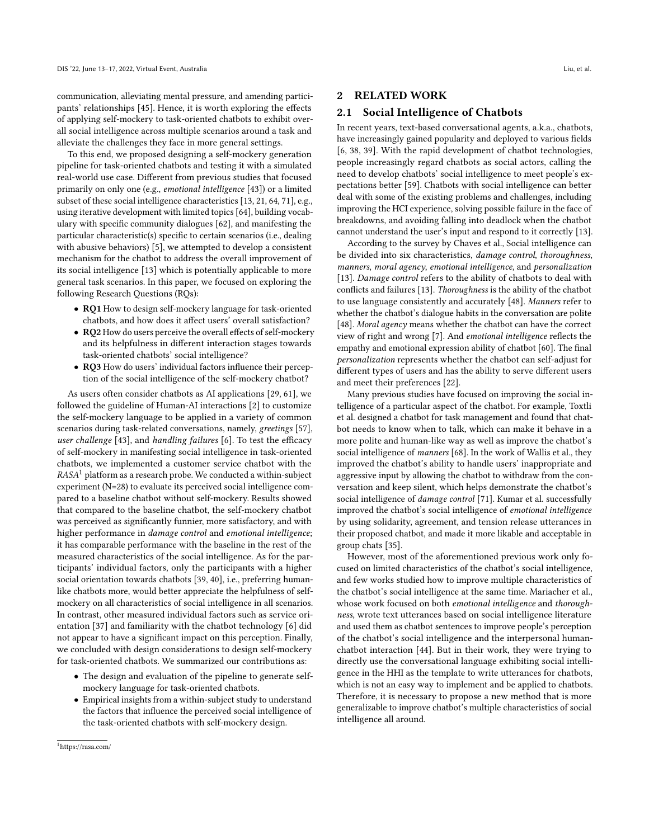communication, alleviating mental pressure, and amending participants' relationships [\[45\]](#page-13-6). Hence, it is worth exploring the effects of applying self-mockery to task-oriented chatbots to exhibit overall social intelligence across multiple scenarios around a task and alleviate the challenges they face in more general settings.

To this end, we proposed designing a self-mockery generation pipeline for task-oriented chatbots and testing it with a simulated real-world use case. Different from previous studies that focused primarily on only one (e.g., emotional intelligence [\[43\]](#page-13-2)) or a limited subset of these social intelligence characteristics [\[13,](#page-12-2) [21,](#page-13-7) [64,](#page-14-5) [71\]](#page-14-6), e.g., using iterative development with limited topics [\[64\]](#page-14-5), building vocabulary with specific community dialogues [\[62\]](#page-14-7), and manifesting the particular characteristic(s) specific to certain scenarios (i.e., dealing with abusive behaviors) [\[5\]](#page-12-8), we attempted to develop a consistent mechanism for the chatbot to address the overall improvement of its social intelligence [\[13\]](#page-12-2) which is potentially applicable to more general task scenarios. In this paper, we focused on exploring the following Research Questions (RQs):

- RQ1 How to design self-mockery language for task-oriented chatbots, and how does it affect users' overall satisfaction?
- RQ2 How do users perceive the overall effects of self-mockery and its helpfulness in different interaction stages towards task-oriented chatbots' social intelligence?
- RQ3 How do users' individual factors influence their perception of the social intelligence of the self-mockery chatbot?

As users often consider chatbots as AI applications [\[29,](#page-13-8) [61\]](#page-14-8), we followed the guideline of Human-AI interactions [\[2\]](#page-12-9) to customize the self-mockery language to be applied in a variety of common scenarios during task-related conversations, namely, greetings [\[57\]](#page-14-9), user challenge [\[43\]](#page-13-2), and handling failures [\[6\]](#page-12-0). To test the efficacy of self-mockery in manifesting social intelligence in task-oriented chatbots, we implemented a customer service chatbot with the  $RASA<sup>1</sup>$  $RASA<sup>1</sup>$  $RASA<sup>1</sup>$  platform as a research probe. We conducted a within-subject experiment (N=28) to evaluate its perceived social intelligence compared to a baseline chatbot without self-mockery. Results showed that compared to the baseline chatbot, the self-mockery chatbot was perceived as significantly funnier, more satisfactory, and with higher performance in damage control and emotional intelligence; it has comparable performance with the baseline in the rest of the measured characteristics of the social intelligence. As for the participants' individual factors, only the participants with a higher social orientation towards chatbots [\[39,](#page-13-9) [40\]](#page-13-0), i.e., preferring humanlike chatbots more, would better appreciate the helpfulness of selfmockery on all characteristics of social intelligence in all scenarios. In contrast, other measured individual factors such as service orientation [\[37\]](#page-13-10) and familiarity with the chatbot technology [\[6\]](#page-12-0) did not appear to have a significant impact on this perception. Finally, we concluded with design considerations to design self-mockery for task-oriented chatbots. We summarized our contributions as:

- The design and evaluation of the pipeline to generate selfmockery language for task-oriented chatbots.
- <span id="page-1-0"></span>• Empirical insights from a within-subject study to understand the factors that influence the perceived social intelligence of the task-oriented chatbots with self-mockery design.

#### 2 RELATED WORK

#### 2.1 Social Intelligence of Chatbots

In recent years, text-based conversational agents, a.k.a., chatbots, have increasingly gained popularity and deployed to various fields [\[6,](#page-12-0) [38,](#page-13-3) [39\]](#page-13-9). With the rapid development of chatbot technologies, people increasingly regard chatbots as social actors, calling the need to develop chatbots' social intelligence to meet people's expectations better [\[59\]](#page-14-10). Chatbots with social intelligence can better deal with some of the existing problems and challenges, including improving the HCI experience, solving possible failure in the face of breakdowns, and avoiding falling into deadlock when the chatbot cannot understand the user's input and respond to it correctly [\[13\]](#page-12-2).

According to the survey by Chaves et al., Social intelligence can be divided into six characteristics, damage control, thoroughness, manners, moral agency, emotional intelligence, and personalization [\[13\]](#page-12-2). Damage control refers to the ability of chatbots to deal with conflicts and failures [\[13\]](#page-12-2). Thoroughness is the ability of the chatbot to use language consistently and accurately [\[48\]](#page-13-11). Manners refer to whether the chatbot's dialogue habits in the conversation are polite [\[48\]](#page-13-11). Moral agency means whether the chatbot can have the correct view of right and wrong [\[7\]](#page-12-10). And emotional intelligence reflects the empathy and emotional expression ability of chatbot [\[60\]](#page-14-1). The final personalization represents whether the chatbot can self-adjust for different types of users and has the ability to serve different users and meet their preferences [\[22\]](#page-13-12).

Many previous studies have focused on improving the social intelligence of a particular aspect of the chatbot. For example, Toxtli et al. designed a chatbot for task management and found that chatbot needs to know when to talk, which can make it behave in a more polite and human-like way as well as improve the chatbot's social intelligence of manners [\[68\]](#page-14-11). In the work of Wallis et al., they improved the chatbot's ability to handle users' inappropriate and aggressive input by allowing the chatbot to withdraw from the conversation and keep silent, which helps demonstrate the chatbot's social intelligence of damage control [\[71\]](#page-14-6). Kumar et al. successfully improved the chatbot's social intelligence of emotional intelligence by using solidarity, agreement, and tension release utterances in their proposed chatbot, and made it more likable and acceptable in group chats [\[35\]](#page-13-13).

However, most of the aforementioned previous work only focused on limited characteristics of the chatbot's social intelligence, and few works studied how to improve multiple characteristics of the chatbot's social intelligence at the same time. Mariacher et al., whose work focused on both emotional intelligence and thoroughness, wrote text utterances based on social intelligence literature and used them as chatbot sentences to improve people's perception of the chatbot's social intelligence and the interpersonal humanchatbot interaction [\[44\]](#page-13-14). But in their work, they were trying to directly use the conversational language exhibiting social intelligence in the HHI as the template to write utterances for chatbots, which is not an easy way to implement and be applied to chatbots. Therefore, it is necessary to propose a new method that is more generalizable to improve chatbot's multiple characteristics of social intelligence all around.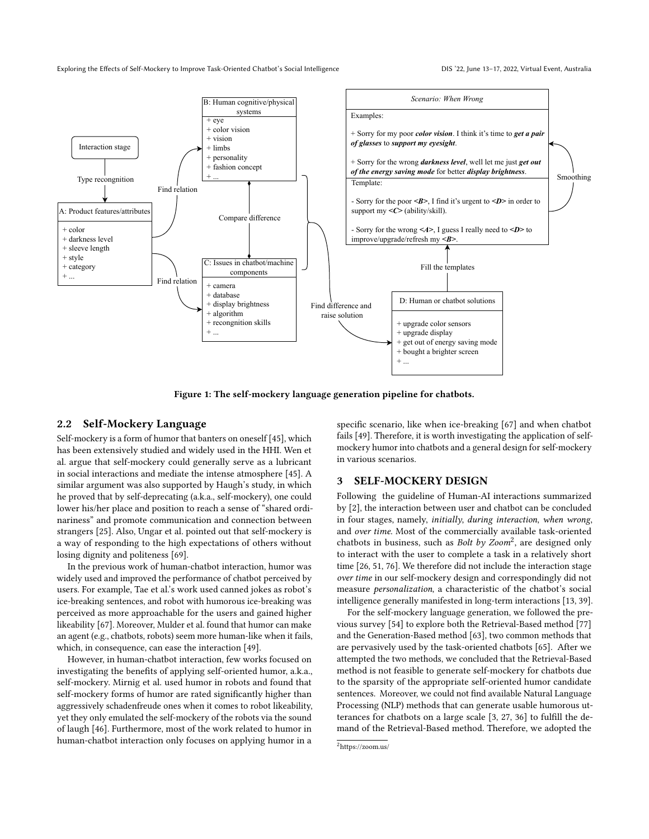<span id="page-2-1"></span>

Figure 1: The self-mockery language generation pipeline for chatbots.

#### 2.2 Self-Mockery Language

Self-mockery is a form of humor that banters on oneself [\[45\]](#page-13-6), which has been extensively studied and widely used in the HHI. Wen et al. argue that self-mockery could generally serve as a lubricant in social interactions and mediate the intense atmosphere [\[45\]](#page-13-6). A similar argument was also supported by Haugh's study, in which he proved that by self-deprecating (a.k.a., self-mockery), one could lower his/her place and position to reach a sense of "shared ordinariness" and promote communication and connection between strangers [\[25\]](#page-13-15). Also, Ungar et al. pointed out that self-mockery is a way of responding to the high expectations of others without losing dignity and politeness [\[69\]](#page-14-12).

In the previous work of human-chatbot interaction, humor was widely used and improved the performance of chatbot perceived by users. For example, Tae et al.'s work used canned jokes as robot's ice-breaking sentences, and robot with humorous ice-breaking was perceived as more approachable for the users and gained higher likeability [\[67\]](#page-14-4). Moreover, Mulder et al. found that humor can make an agent (e.g., chatbots, robots) seem more human-like when it fails, which, in consequence, can ease the interaction [\[49\]](#page-13-16).

However, in human-chatbot interaction, few works focused on investigating the benefits of applying self-oriented humor, a.k.a., self-mockery. Mirnig et al. used humor in robots and found that self-mockery forms of humor are rated significantly higher than aggressively schadenfreude ones when it comes to robot likeability, yet they only emulated the self-mockery of the robots via the sound of laugh [\[46\]](#page-13-4). Furthermore, most of the work related to humor in human-chatbot interaction only focuses on applying humor in a

specific scenario, like when ice-breaking [\[67\]](#page-14-4) and when chatbot fails [\[49\]](#page-13-16). Therefore, it is worth investigating the application of selfmockery humor into chatbots and a general design for self-mockery in various scenarios.

#### <span id="page-2-2"></span>3 SELF-MOCKERY DESIGN

Following the guideline of Human-AI interactions summarized by [\[2\]](#page-12-9), the interaction between user and chatbot can be concluded in four stages, namely, initially, during interaction, when wrong, and over time. Most of the commercially available task-oriented chatbots in business, such as *Bolt by Zoom*<sup>[2](#page-2-0)</sup>, are designed only to interact with the user to complete a task in a relatively short time [\[26,](#page-13-17) [51,](#page-13-18) [76\]](#page-14-13). We therefore did not include the interaction stage over time in our self-mockery design and correspondingly did not measure personalization, a characteristic of the chatbot's social intelligence generally manifested in long-term interactions [\[13,](#page-12-2) [39\]](#page-13-9).

For the self-mockery language generation, we followed the previous survey [\[54\]](#page-13-19) to explore both the Retrieval-Based method [\[77\]](#page-14-14) and the Generation-Based method [\[63\]](#page-14-15), two common methods that are pervasively used by the task-oriented chatbots [\[65\]](#page-14-16). After we attempted the two methods, we concluded that the Retrieval-Based method is not feasible to generate self-mockery for chatbots due to the sparsity of the appropriate self-oriented humor candidate sentences. Moreover, we could not find available Natural Language Processing (NLP) methods that can generate usable humorous utterances for chatbots on a large scale [\[3,](#page-12-11) [27,](#page-13-20) [36\]](#page-13-21) to fulfill the demand of the Retrieval-Based method. Therefore, we adopted the

<span id="page-2-0"></span><sup>2</sup>https://zoom.us/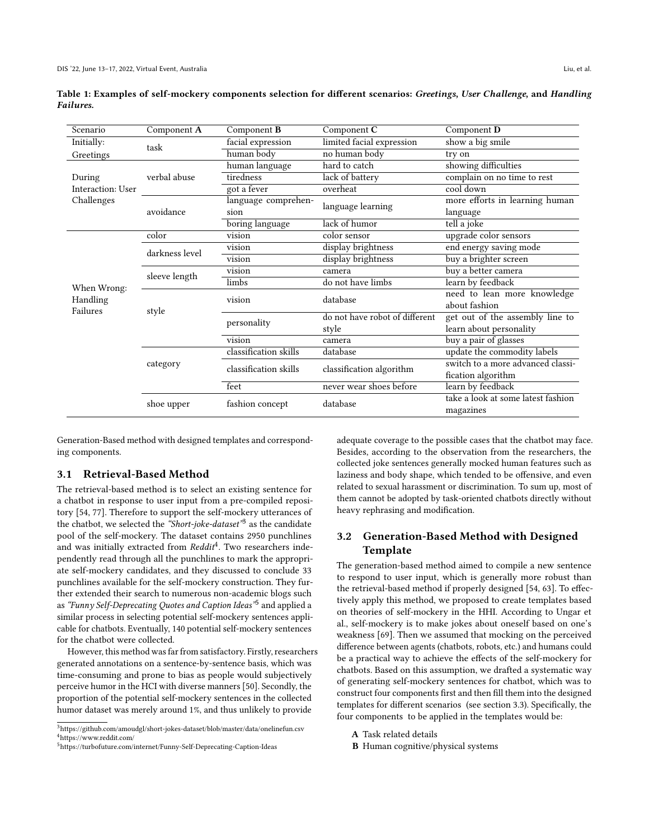| Scenario          | Component A    | Component <b>B</b>          | Component C                    | Component D                        |  |  |
|-------------------|----------------|-----------------------------|--------------------------------|------------------------------------|--|--|
| Initially:        | task           | facial expression           | limited facial expression      | show a big smile                   |  |  |
| Greetings         |                | human body<br>no human body |                                | try on                             |  |  |
|                   |                | human language              | hard to catch                  | showing difficulties               |  |  |
| During            | verbal abuse   | tiredness                   | lack of battery                | complain on no time to rest        |  |  |
| Interaction: User |                | got a fever                 | overheat                       | cool down                          |  |  |
| Challenges        |                | language comprehen-         | language learning              | more efforts in learning human     |  |  |
|                   | avoidance      | sion                        |                                | language                           |  |  |
|                   |                | boring language             | lack of humor                  | tell a joke                        |  |  |
|                   | color          | vision                      | color sensor                   | upgrade color sensors              |  |  |
| When Wrong:       | darkness level | vision                      | display brightness             | end energy saving mode             |  |  |
|                   |                | vision                      | display brightness             | buy a brighter screen              |  |  |
|                   | sleeve length  | vision                      | camera                         | buy a better camera                |  |  |
|                   |                | limbs                       | do not have limbs              | learn by feedback                  |  |  |
| Handling          | style          | vision                      | database                       | need to lean more knowledge        |  |  |
| Failures          |                |                             |                                | about fashion                      |  |  |
|                   |                | personality                 | do not have robot of different | get out of the assembly line to    |  |  |
|                   |                |                             | style                          | learn about personality            |  |  |
|                   |                | vision                      | camera                         | buy a pair of glasses              |  |  |
|                   |                | classification skills       | database                       | update the commodity labels        |  |  |
|                   | category       | classification skills       | classification algorithm       | switch to a more advanced classi-  |  |  |
|                   |                |                             |                                | fication algorithm                 |  |  |
|                   |                | feet                        | never wear shoes before        | learn by feedback                  |  |  |
|                   | shoe upper     | fashion concept             | database                       | take a look at some latest fashion |  |  |
|                   |                |                             |                                | magazines                          |  |  |

<span id="page-3-3"></span>Table 1: Examples of self-mockery components selection for different scenarios: Greetings, User Challenge, and Handling Failures.

Generation-Based method with designed templates and corresponding components.

#### 3.1 Retrieval-Based Method

The retrieval-based method is to select an existing sentence for a chatbot in response to user input from a pre-compiled repository [\[54,](#page-13-19) [77\]](#page-14-14). Therefore to support the self-mockery utterances of the chatbot, we selected the "Short-joke-dataset"<sup>[3](#page-3-0)</sup> as the candidate pool of the self-mockery. The dataset contains 2950 punchlines and was initially extracted from Reddit<sup>[4](#page-3-1)</sup>. Two researchers independently read through all the punchlines to mark the appropriate self-mockery candidates, and they discussed to conclude 33 punchlines available for the self-mockery construction. They further extended their search to numerous non-academic blogs such as *"Funny Self-Deprecating Quotes and Caption Ideas"*[5](#page-3-2) and applied a similar process in selecting potential self-mockery sentences applicable for chatbots. Eventually, 140 potential self-mockery sentences for the chatbot were collected.

However, this method was far from satisfactory. Firstly, researchers generated annotations on a sentence-by-sentence basis, which was time-consuming and prone to bias as people would subjectively perceive humor in the HCI with diverse manners [\[50\]](#page-13-22). Secondly, the proportion of the potential self-mockery sentences in the collected humor dataset was merely around 1%, and thus unlikely to provide

adequate coverage to the possible cases that the chatbot may face. Besides, according to the observation from the researchers, the collected joke sentences generally mocked human features such as laziness and body shape, which tended to be offensive, and even related to sexual harassment or discrimination. To sum up, most of them cannot be adopted by task-oriented chatbots directly without heavy rephrasing and modification.

# <span id="page-3-4"></span>3.2 Generation-Based Method with Designed Template

The generation-based method aimed to compile a new sentence to respond to user input, which is generally more robust than the retrieval-based method if properly designed [\[54,](#page-13-19) [63\]](#page-14-15). To effectively apply this method, we proposed to create templates based on theories of self-mockery in the HHI. According to Ungar et al., self-mockery is to make jokes about oneself based on one's weakness [\[69\]](#page-14-12). Then we assumed that mocking on the perceived difference between agents (chatbots, robots, etc.) and humans could be a practical way to achieve the effects of the self-mockery for chatbots. Based on this assumption, we drafted a systematic way of generating self-mockery sentences for chatbot, which was to construct four components first and then fill them into the designed templates for different scenarios (see section [3.3\)](#page-4-0). Specifically, the four components to be applied in the templates would be:

A Task related details

B Human cognitive/physical systems

<span id="page-3-1"></span><span id="page-3-0"></span> $^3$ https://github.com/amoudgl/short-jokes-dataset/blob/master/data/onelinefun.csv <sup>4</sup>https://www.reddit.com/

<span id="page-3-2"></span><sup>5</sup>https://turbofuture.com/internet/Funny-Self-Deprecating-Caption-Ideas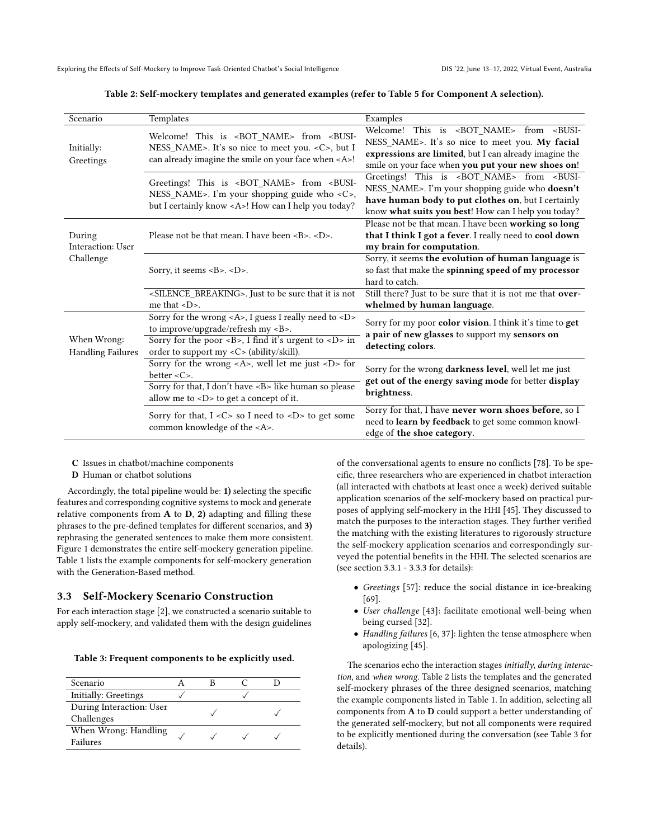Table 2: Self-mockery templates and generated examples (refer to Table [5](#page-6-0) for Component A selection).

<span id="page-4-1"></span>

| Scenario                                | Templates                                                                                                                                                                                                                  | Examples                                                                                                                                                                                                                              |  |  |
|-----------------------------------------|----------------------------------------------------------------------------------------------------------------------------------------------------------------------------------------------------------------------------|---------------------------------------------------------------------------------------------------------------------------------------------------------------------------------------------------------------------------------------|--|--|
| Initially:<br>Greetings                 | Welcome! This is <bot_name> from <busi-<br>NESS_NAME&gt;. It's so nice to meet you. &lt; C&gt;, but I<br/>can already imagine the smile on your face when <a>!</a></busi-<br></bot_name>                                   | Welcome! This is <bot_name> from <busi-<br>NESS_NAME&gt;. It's so nice to meet you. My facial<br/>expressions are limited, but I can already imagine the<br/>smile on your face when you put your new shoes on!</busi-<br></bot_name> |  |  |
|                                         | Greetings! This is <bot_name> from <busi-<br>NESS_NAME&gt;. I'm your shopping guide who <c>,<br/>but I certainly know <a>! How can I help you today?</a></c></busi-<br></bot_name>                                         | Greetings! This is <bot_name> from <busi-<br>NESS_NAME&gt;. I'm your shopping guide who doesn't<br/>have human body to put clothes on, but I certainly<br/>know what suits you best! How can I help you today?</busi-<br></bot_name>  |  |  |
| During<br>Interaction: User             | Please not be that mean. I have been <b>. <d>.</d></b>                                                                                                                                                                     | Please not be that mean. I have been working so long<br>that I think I got a fever. I really need to cool down<br>my brain for computation.                                                                                           |  |  |
| Challenge                               | Sorry, it seems <b>. <d>.</d></b>                                                                                                                                                                                          | Sorry, it seems the evolution of human language is<br>so fast that make the spinning speed of my processor<br>hard to catch.                                                                                                          |  |  |
|                                         | <silence_breaking>. Just to be sure that it is not<br/>me that <math>\langle D \rangle</math>.</silence_breaking>                                                                                                          | Still there? Just to be sure that it is not me that over-<br>whelmed by human language.                                                                                                                                               |  |  |
| When Wrong:<br><b>Handling Failures</b> | Sorry for the wrong <a>, I guess I really need to <d><br/>to improve/upgrade/refresh my <b>.<br/>Sorry for the poor <b>, I find it's urgent to <d> in<br/>order to support my <c> (ability/skill).</c></d></b></b></d></a> | Sorry for my poor color vision. I think it's time to get<br>a pair of new glasses to support my sensors on<br>detecting colors.                                                                                                       |  |  |
|                                         | Sorry for the wrong $\langle A \rangle$ , well let me just $\langle D \rangle$ for<br>better $<\mathbb{C}$ .<br>Sorry for that, I don't have <b> like human so please<br/>allow me to <d> to get a concept of it.</d></b>  | Sorry for the wrong darkness level, well let me just<br>get out of the energy saving mode for better display<br>brightness.                                                                                                           |  |  |
|                                         | Sorry for that, $I < C$ so I need to $ID$ to get some<br>common knowledge of the <a>.</a>                                                                                                                                  | Sorry for that, I have never worn shoes before, so I<br>need to learn by feedback to get some common knowl-<br>edge of the shoe category.                                                                                             |  |  |

C Issues in chatbot/machine components

D Human or chatbot solutions

Accordingly, the total pipeline would be: 1) selecting the specific features and corresponding cognitive systems to mock and generate relative components from  $A$  to  $D$ ,  $2)$  adapting and filling these phrases to the pre-defined templates for different scenarios, and 3) rephrasing the generated sentences to make them more consistent. Figure [1](#page-2-1) demonstrates the entire self-mockery generation pipeline. Table [1](#page-3-3) lists the example components for self-mockery generation with the Generation-Based method.

#### <span id="page-4-0"></span>3.3 Self-Mockery Scenario Construction

For each interaction stage [\[2\]](#page-12-9), we constructed a scenario suitable to apply self-mockery, and validated them with the design guidelines

<span id="page-4-2"></span>Table 3: Frequent components to be explicitly used.

| Scenario                               |  |  |
|----------------------------------------|--|--|
| Initially: Greetings                   |  |  |
| During Interaction: User<br>Challenges |  |  |
| When Wrong: Handling<br>Failures       |  |  |

of the conversational agents to ensure no conflicts [\[78\]](#page-14-17). To be specific, three researchers who are experienced in chatbot interaction (all interacted with chatbots at least once a week) derived suitable application scenarios of the self-mockery based on practical purposes of applying self-mockery in the HHI [\[45\]](#page-13-6). They discussed to match the purposes to the interaction stages. They further verified the matching with the existing literatures to rigorously structure the self-mockery application scenarios and correspondingly surveyed the potential benefits in the HHI. The selected scenarios are (see section [3.3.1](#page-5-0) - [3.3.3](#page-5-1) for details):

- Greetings [\[57\]](#page-14-9): reduce the social distance in ice-breaking [\[69\]](#page-14-12).
- User challenge [\[43\]](#page-13-2): facilitate emotional well-being when being cursed [\[32\]](#page-13-23).
- Handling failures [\[6,](#page-12-0) [37\]](#page-13-10): lighten the tense atmosphere when apologizing [\[45\]](#page-13-6).

The scenarios echo the interaction stages initially, during interaction, and when wrong. Table [2](#page-4-1) lists the templates and the generated self-mockery phrases of the three designed scenarios, matching the example components listed in Table [1.](#page-3-3) In addition, selecting all components from A to D could support a better understanding of the generated self-mockery, but not all components were required to be explicitly mentioned during the conversation (see Table [3](#page-4-2) for details).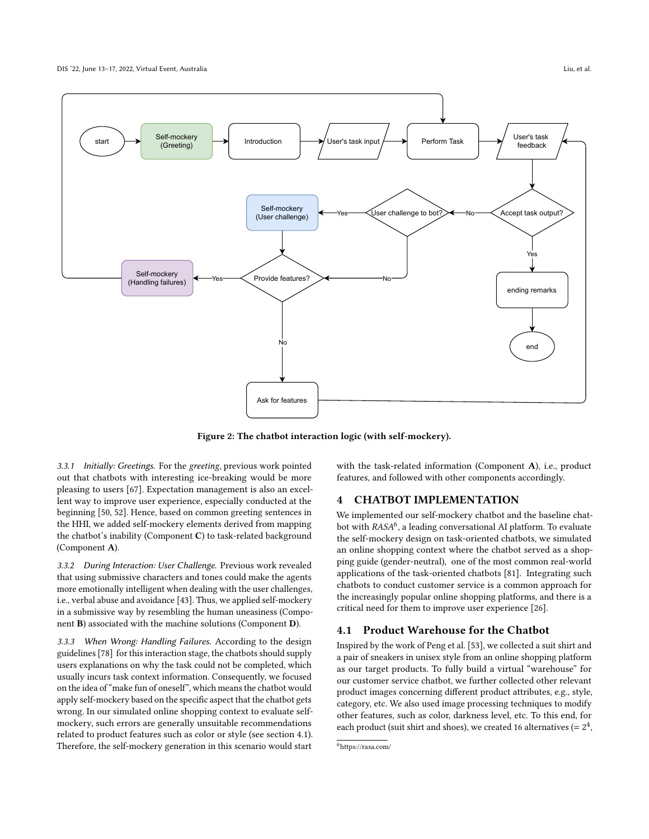<span id="page-5-4"></span>

Figure 2: The chatbot interaction logic (with self-mockery).

<span id="page-5-0"></span>3.3.1 Initially: Greetings. For the greeting, previous work pointed out that chatbots with interesting ice-breaking would be more pleasing to users [\[67\]](#page-14-4). Expectation management is also an excellent way to improve user experience, especially conducted at the beginning [\[50,](#page-13-22) [52\]](#page-13-5). Hence, based on common greeting sentences in the HHI, we added self-mockery elements derived from mapping the chatbot's inability (Component C) to task-related background (Component A).

3.3.2 During Interaction: User Challenge. Previous work revealed that using submissive characters and tones could make the agents more emotionally intelligent when dealing with the user challenges, i.e., verbal abuse and avoidance [\[43\]](#page-13-2). Thus, we applied self-mockery in a submissive way by resembling the human uneasiness (Component B) associated with the machine solutions (Component D).

<span id="page-5-1"></span>3.3.3 When Wrong: Handling Failures. According to the design guidelines [\[78\]](#page-14-17) for this interaction stage, the chatbots should supply users explanations on why the task could not be completed, which usually incurs task context information. Consequently, we focused on the idea of "make fun of oneself", which means the chatbot would apply self-mockery based on the specific aspect that the chatbot gets wrong. In our simulated online shopping context to evaluate selfmockery, such errors are generally unsuitable recommendations related to product features such as color or style (see section [4.1\)](#page-5-2). Therefore, the self-mockery generation in this scenario would start

with the task-related information (Component A), i.e., product features, and followed with other components accordingly.

#### <span id="page-5-5"></span>4 CHATBOT IMPLEMENTATION

We implemented our self-mockery chatbot and the baseline chatbot with  $RASA^6$  $RASA^6$ , a leading conversational AI platform. To evaluate the self-mockery design on task-oriented chatbots, we simulated an online shopping context where the chatbot served as a shopping guide (gender-neutral), one of the most common real-world applications of the task-oriented chatbots [\[81\]](#page-14-18). Integrating such chatbots to conduct customer service is a common approach for the increasingly popular online shopping platforms, and there is a critical need for them to improve user experience [\[26\]](#page-13-17).

#### <span id="page-5-2"></span>4.1 Product Warehouse for the Chatbot

Inspired by the work of Peng et al. [\[53\]](#page-13-24), we collected a suit shirt and a pair of sneakers in unisex style from an online shopping platform as our target products. To fully build a virtual "warehouse" for our customer service chatbot, we further collected other relevant product images concerning different product attributes, e.g., style, category, etc. We also used image processing techniques to modify other features, such as color, darkness level, etc. To this end, for each product (suit shirt and shoes), we created 16 alternatives (=  $2^4$ ,

<span id="page-5-3"></span><sup>6</sup>https://rasa.com/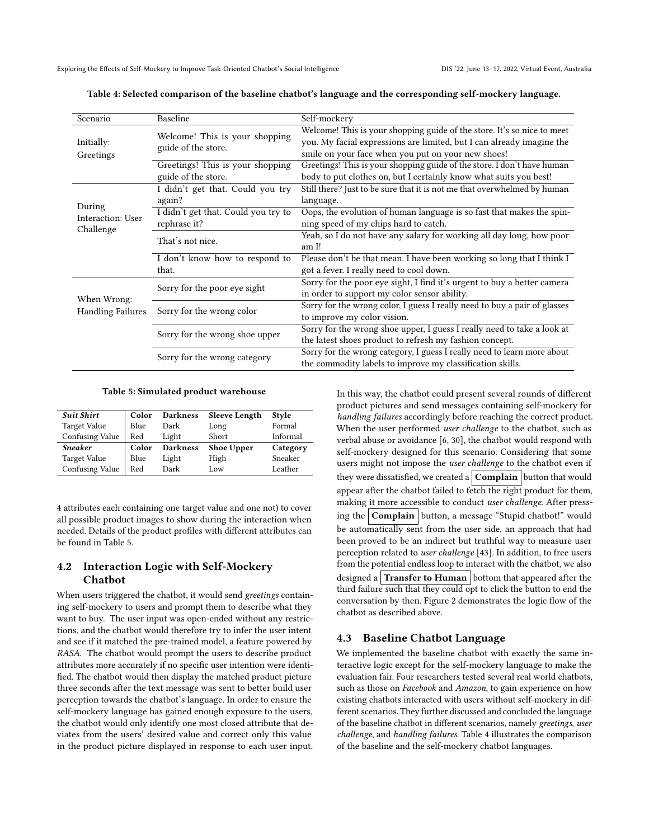| Scenario                 | Baseline                                              | Self-mockery                                                              |  |  |  |  |
|--------------------------|-------------------------------------------------------|---------------------------------------------------------------------------|--|--|--|--|
|                          |                                                       | Welcome! This is your shopping guide of the store. It's so nice to meet   |  |  |  |  |
| Initially:               | Welcome! This is your shopping<br>guide of the store. | you. My facial expressions are limited, but I can already imagine the     |  |  |  |  |
| Greetings                |                                                       | smile on your face when you put on your new shoes!                        |  |  |  |  |
|                          | Greetings! This is your shopping                      | Greetings! This is your shopping guide of the store. I don't have human   |  |  |  |  |
|                          | guide of the store.                                   | body to put clothes on, but I certainly know what suits you best!         |  |  |  |  |
|                          | I didn't get that. Could you try                      | Still there? Just to be sure that it is not me that overwhelmed by human  |  |  |  |  |
| During                   | again?                                                | language.                                                                 |  |  |  |  |
| Interaction: User        | I didn't get that. Could you try to                   | Oops, the evolution of human language is so fast that makes the spin-     |  |  |  |  |
| Challenge                | rephrase it?                                          | ning speed of my chips hard to catch.                                     |  |  |  |  |
|                          | That's not nice.                                      | Yeah, so I do not have any salary for working all day long, how poor      |  |  |  |  |
|                          |                                                       | am I!                                                                     |  |  |  |  |
|                          | I don't know how to respond to                        | Please don't be that mean. I have been working so long that I think I     |  |  |  |  |
|                          | that.                                                 | got a fever. I really need to cool down.                                  |  |  |  |  |
|                          | Sorry for the poor eye sight                          | Sorry for the poor eye sight, I find it's urgent to buy a better camera   |  |  |  |  |
| When Wrong:              |                                                       | in order to support my color sensor ability.                              |  |  |  |  |
| <b>Handling Failures</b> | Sorry for the wrong color                             | Sorry for the wrong color, I guess I really need to buy a pair of glasses |  |  |  |  |
|                          |                                                       | to improve my color vision.                                               |  |  |  |  |
|                          | Sorry for the wrong shoe upper                        | Sorry for the wrong shoe upper, I guess I really need to take a look at   |  |  |  |  |
|                          |                                                       | the latest shoes product to refresh my fashion concept.                   |  |  |  |  |
|                          | Sorry for the wrong category                          | Sorry for the wrong category, I guess I really need to learn more about   |  |  |  |  |
|                          |                                                       | the commodity labels to improve my classification skills.                 |  |  |  |  |

<span id="page-6-1"></span>Table 4: Selected comparison of the baseline chatbot's language and the corresponding self-mockery language.

#### Table 5: Simulated product warehouse

<span id="page-6-0"></span>

| <b>Suit Shirt</b> | Color | <b>Darkness</b> | <b>Sleeve Length</b> | <b>Style</b> |  |
|-------------------|-------|-----------------|----------------------|--------------|--|
| Target Value      | Blue  | Dark            | Long                 | Formal       |  |
| Confusing Value   | Red   | Light           | <b>Short</b>         | Informal     |  |
| <b>Sneaker</b>    | Color | <b>Darkness</b> | <b>Shoe Upper</b>    | Category     |  |
| Target Value      | Blue  | Light           | High                 | Sneaker      |  |
| Confusing Value   | Red   | Dark            | Low                  | Leather      |  |

4 attributes each containing one target value and one not) to cover all possible product images to show during the interaction when needed. Details of the product profiles with different attributes can be found in Table [5.](#page-6-0)

### 4.2 Interaction Logic with Self-Mockery Chatbot

When users triggered the chatbot, it would send greetings containing self-mockery to users and prompt them to describe what they want to buy. The user input was open-ended without any restrictions, and the chatbot would therefore try to infer the user intent and see if it matched the pre-trained model, a feature powered by RASA. The chatbot would prompt the users to describe product attributes more accurately if no specific user intention were identified. The chatbot would then display the matched product picture three seconds after the text message was sent to better build user perception towards the chatbot's language. In order to ensure the self-mockery language has gained enough exposure to the users, the chatbot would only identify one most closed attribute that deviates from the users' desired value and correct only this value in the product picture displayed in response to each user input.

In this way, the chatbot could present several rounds of different product pictures and send messages containing self-mockery for handling failures accordingly before reaching the correct product. When the user performed user challenge to the chatbot, such as verbal abuse or avoidance [\[6,](#page-12-0) [30\]](#page-13-25), the chatbot would respond with self-mockery designed for this scenario. Considering that some users might not impose the user challenge to the chatbot even if they were dissatisfied, we created a **Complain** button that would appear after the chatbot failed to fetch the right product for them, making it more accessible to conduct user challenge. After pressing the  $\overline{\text{Complain}}$  button, a message "Stupid chatbot!" would be automatically sent from the user side, an approach that had been proved to be an indirect but truthful way to measure user perception related to user challenge [\[43\]](#page-13-2). In addition, to free users from the potential endless loop to interact with the chatbot, we also designed a Transfer to Human bottom that appeared after the third failure such that they could opt to click the button to end the conversation by then. Figure [2](#page-5-4) demonstrates the logic flow of the chatbot as described above.

#### 4.3 Baseline Chatbot Language

We implemented the baseline chatbot with exactly the same interactive logic except for the self-mockery language to make the evaluation fair. Four researchers tested several real world chatbots, such as those on Facebook and Amazon, to gain experience on how existing chatbots interacted with users without self-mockery in different scenarios. They further discussed and concluded the language of the baseline chatbot in different scenarios, namely greetings, user challenge, and handling failures. Table [4](#page-6-1) illustrates the comparison of the baseline and the self-mockery chatbot languages.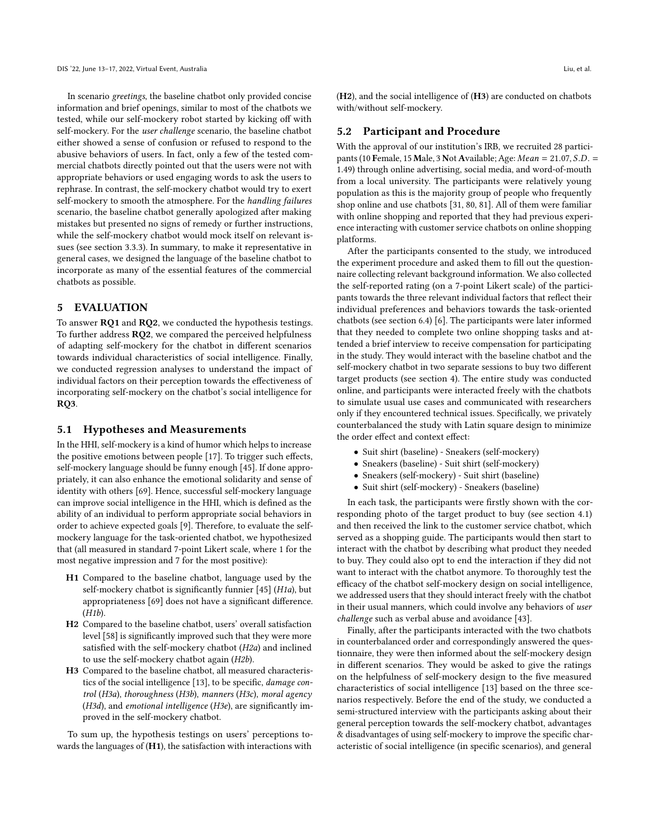In scenario greetings, the baseline chatbot only provided concise information and brief openings, similar to most of the chatbots we tested, while our self-mockery robot started by kicking off with self-mockery. For the user challenge scenario, the baseline chatbot either showed a sense of confusion or refused to respond to the abusive behaviors of users. In fact, only a few of the tested commercial chatbots directly pointed out that the users were not with appropriate behaviors or used engaging words to ask the users to rephrase. In contrast, the self-mockery chatbot would try to exert self-mockery to smooth the atmosphere. For the handling failures scenario, the baseline chatbot generally apologized after making mistakes but presented no signs of remedy or further instructions, while the self-mockery chatbot would mock itself on relevant issues (see section [3.3.3\)](#page-5-1). In summary, to make it representative in general cases, we designed the language of the baseline chatbot to incorporate as many of the essential features of the commercial chatbots as possible.

#### 5 EVALUATION

To answer RQ1 and RQ2, we conducted the hypothesis testings. To further address RQ2, we compared the perceived helpfulness of adapting self-mockery for the chatbot in different scenarios towards individual characteristics of social intelligence. Finally, we conducted regression analyses to understand the impact of individual factors on their perception towards the effectiveness of incorporating self-mockery on the chatbot's social intelligence for RQ3.

#### <span id="page-7-0"></span>5.1 Hypotheses and Measurements

In the HHI, self-mockery is a kind of humor which helps to increase the positive emotions between people [\[17\]](#page-13-26). To trigger such effects, self-mockery language should be funny enough [\[45\]](#page-13-6). If done appropriately, it can also enhance the emotional solidarity and sense of identity with others [\[69\]](#page-14-12). Hence, successful self-mockery language can improve social intelligence in the HHI, which is defined as the ability of an individual to perform appropriate social behaviors in order to achieve expected goals [\[9\]](#page-12-6). Therefore, to evaluate the selfmockery language for the task-oriented chatbot, we hypothesized that (all measured in standard 7-point Likert scale, where 1 for the most negative impression and 7 for the most positive):

- H1 Compared to the baseline chatbot, language used by the self-mockery chatbot is significantly funnier [\[45\]](#page-13-6) (H1a), but appropriateness [\[69\]](#page-14-12) does not have a significant difference. (H1b).
- H2 Compared to the baseline chatbot, users' overall satisfaction level [\[58\]](#page-14-19) is significantly improved such that they were more satisfied with the self-mockery chatbot (H2a) and inclined to use the self-mockery chatbot again (H2b).
- H3 Compared to the baseline chatbot, all measured characteristics of the social intelligence [\[13\]](#page-12-2), to be specific, damage control (H3a), thoroughness (H3b), manners (H3c), moral agency (H3d), and emotional intelligence (H3e), are significantly improved in the self-mockery chatbot.

To sum up, the hypothesis testings on users' perceptions towards the languages of  $(H1)$ , the satisfaction with interactions with

(H2), and the social intelligence of (H3) are conducted on chatbots with/without self-mockery.

#### 5.2 Participant and Procedure

With the approval of our institution's IRB, we recruited 28 participants (10 Female, 15 Male, 3 Not Available; Age:  $Mean = 21.07$ ,  $S.D. =$ 1.49) through online advertising, social media, and word-of-mouth from a local university. The participants were relatively young population as this is the majority group of people who frequently shop online and use chatbots [\[31,](#page-13-27) [80,](#page-14-20) [81\]](#page-14-18). All of them were familiar with online shopping and reported that they had previous experience interacting with customer service chatbots on online shopping platforms.

After the participants consented to the study, we introduced the experiment procedure and asked them to fill out the questionnaire collecting relevant background information. We also collected the self-reported rating (on a 7-point Likert scale) of the participants towards the three relevant individual factors that reflect their individual preferences and behaviors towards the task-oriented chatbots (see section [6.4\)](#page-10-0) [\[6\]](#page-12-0). The participants were later informed that they needed to complete two online shopping tasks and attended a brief interview to receive compensation for participating in the study. They would interact with the baseline chatbot and the self-mockery chatbot in two separate sessions to buy two different target products (see section [4\)](#page-5-5). The entire study was conducted online, and participants were interacted freely with the chatbots to simulate usual use cases and communicated with researchers only if they encountered technical issues. Specifically, we privately counterbalanced the study with Latin square design to minimize the order effect and context effect:

- Suit shirt (baseline) Sneakers (self-mockery)
- Sneakers (baseline) Suit shirt (self-mockery)
- Sneakers (self-mockery) Suit shirt (baseline)
- Suit shirt (self-mockery) Sneakers (baseline)

In each task, the participants were firstly shown with the corresponding photo of the target product to buy (see section [4.1\)](#page-5-2) and then received the link to the customer service chatbot, which served as a shopping guide. The participants would then start to interact with the chatbot by describing what product they needed to buy. They could also opt to end the interaction if they did not want to interact with the chatbot anymore. To thoroughly test the efficacy of the chatbot self-mockery design on social intelligence, we addressed users that they should interact freely with the chatbot in their usual manners, which could involve any behaviors of user challenge such as verbal abuse and avoidance [\[43\]](#page-13-2).

Finally, after the participants interacted with the two chatbots in counterbalanced order and correspondingly answered the questionnaire, they were then informed about the self-mockery design in different scenarios. They would be asked to give the ratings on the helpfulness of self-mockery design to the five measured characteristics of social intelligence [\[13\]](#page-12-2) based on the three scenarios respectively. Before the end of the study, we conducted a semi-structured interview with the participants asking about their general perception towards the self-mockery chatbot, advantages & disadvantages of using self-mockery to improve the specific characteristic of social intelligence (in specific scenarios), and general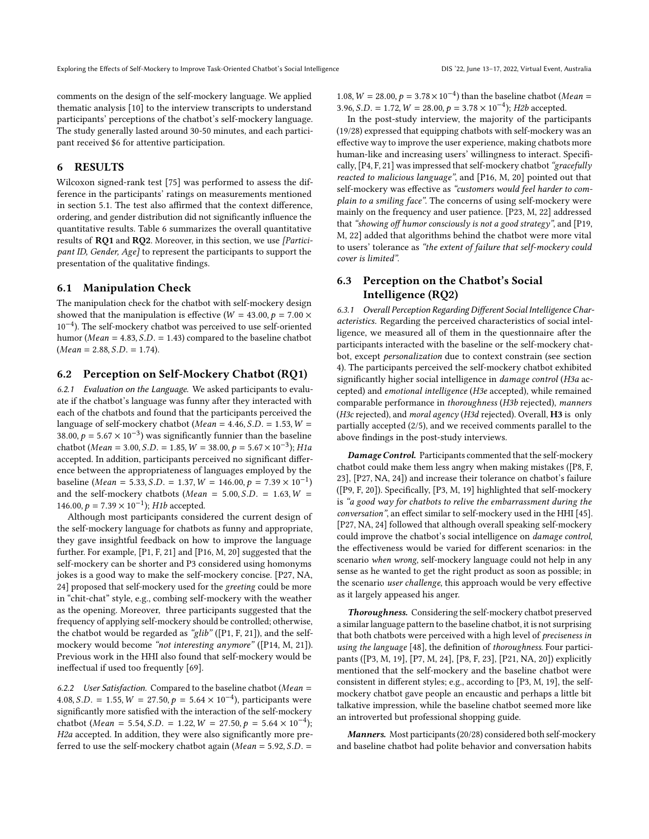comments on the design of the self-mockery language. We applied thematic analysis [\[10\]](#page-12-12) to the interview transcripts to understand participants' perceptions of the chatbot's self-mockery language. The study generally lasted around 30-50 minutes, and each participant received \$6 for attentive participation.

#### 6 RESULTS

Wilcoxon signed-rank test [\[75\]](#page-14-21) was performed to assess the difference in the participants' ratings on measurements mentioned in section [5.1.](#page-7-0) The test also affirmed that the context difference, ordering, and gender distribution did not significantly influence the quantitative results. Table [6](#page-9-0) summarizes the overall quantitative results of RQ1 and RQ2. Moreover, in this section, we use [Participant ID, Gender, Age] to represent the participants to support the presentation of the qualitative findings.

#### 6.1 Manipulation Check

The manipulation check for the chatbot with self-mockery design showed that the manipulation is effective ( $W = 43.00, p = 7.00 \times$ 10−<sup>4</sup> ). The self-mockery chatbot was perceived to use self-oriented humor ( $Mean = 4.83$ ,  $S.D. = 1.43$ ) compared to the baseline chatbot  $(Mean = 2.88, S.D. = 1.74).$ 

#### 6.2 Perception on Self-Mockery Chatbot (RQ1)

<span id="page-8-0"></span>6.2.1 Evaluation on the Language. We asked participants to evaluate if the chatbot's language was funny after they interacted with each of the chatbots and found that the participants perceived the language of self-mockery chatbot ( $Mean = 4.46$ ,  $S.D. = 1.53$ ,  $W =$ 38.00,  $p = 5.67 \times 10^{-3}$ ) was significantly funnier than the baseline chatbot ( $Mean = 3.00, S.D. = 1.85, W = 38.00, p = 5.67 \times 10^{-3}$ ); H1a accepted. In addition, participants perceived no significant difference between the appropriateness of languages employed by the baseline ( $Mean = 5.33$ ,  $S.D. = 1.37$ ,  $W = 146.00$ ,  $p = 7.39 \times 10^{-1}$ ) and the self-mockery chatbots (Mean =  $5.00$ , S.D. =  $1.63$ , W = 146.00,  $p = 7.39 \times 10^{-1}$ ); H1b accepted.

Although most participants considered the current design of the self-mockery language for chatbots as funny and appropriate, they gave insightful feedback on how to improve the language further. For example, [P1, F, 21] and [P16, M, 20] suggested that the self-mockery can be shorter and P3 considered using homonyms jokes is a good way to make the self-mockery concise. [P27, NA, 24] proposed that self-mockery used for the greeting could be more in "chit-chat" style, e.g., combing self-mockery with the weather as the opening. Moreover, three participants suggested that the frequency of applying self-mockery should be controlled; otherwise, the chatbot would be regarded as "glib" ([P1, F, 21]), and the selfmockery would become "not interesting anymore" ([P14, M, 21]). Previous work in the HHI also found that self-mockery would be ineffectual if used too frequently [\[69\]](#page-14-12).

6.2.2 User Satisfaction. Compared to the baseline chatbot (Mean  $=$ 4.08, S.D. = 1.55,  $W = 27.50$ ,  $p = 5.64 \times 10^{-4}$ ), participants were significantly more satisfied with the interaction of the self-mockery chatbot (Mean = 5.54, S.D. = 1.22,  $W = 27.50, p = 5.64 \times 10^{-4}$ ); H2a accepted. In addition, they were also significantly more preferred to use the self-mockery chatbot again ( $Mean = 5.92, S.D. =$ 

1.08,  $W = 28.00, p = 3.78 \times 10^{-4}$ ) than the baseline chatbot (*Mean* = 3.96, S.D. = 1.72,  $W = 28.00, p = 3.78 \times 10^{-4}$ ; H2b accepted.

In the post-study interview, the majority of the participants (19/28) expressed that equipping chatbots with self-mockery was an effective way to improve the user experience, making chatbots more human-like and increasing users' willingness to interact. Specifically, [P4, F, 21] was impressed that self-mockery chatbot "gracefully reacted to malicious language", and [P16, M, 20] pointed out that self-mockery was effective as "customers would feel harder to complain to a smiling face". The concerns of using self-mockery were mainly on the frequency and user patience. [P23, M, 22] addressed that "showing off humor consciously is not a good strategy", and [P19, M, 22] added that algorithms behind the chatbot were more vital to users' tolerance as "the extent of failure that self-mockery could cover is limited".

# 6.3 Perception on the Chatbot's Social Intelligence (RQ2)

<span id="page-8-1"></span>6.3.1 Overall Perception Regarding Different Social Intelligence Characteristics. Regarding the perceived characteristics of social intelligence, we measured all of them in the questionnaire after the participants interacted with the baseline or the self-mockery chatbot, except personalization due to context constrain (see section [4\)](#page-5-5). The participants perceived the self-mockery chatbot exhibited significantly higher social intelligence in damage control (H3a accepted) and emotional intelligence (H3e accepted), while remained comparable performance in thoroughness (H3b rejected), manners (H3c rejected), and moral agency (H3d rejected). Overall, H3 is only partially accepted (2/5), and we received comments parallel to the above findings in the post-study interviews.

Damage Control. Participants commented that the self-mockery chatbot could make them less angry when making mistakes ([P8, F, 23], [P27, NA, 24]) and increase their tolerance on chatbot's failure ([P9, F, 20]). Specifically, [P3, M, 19] highlighted that self-mockery is "a good way for chatbots to relive the embarrassment during the conversation", an effect similar to self-mockery used in the HHI [\[45\]](#page-13-6). [P27, NA, 24] followed that although overall speaking self-mockery could improve the chatbot's social intelligence on damage control, the effectiveness would be varied for different scenarios: in the scenario when wrong, self-mockery language could not help in any sense as he wanted to get the right product as soon as possible; in the scenario user challenge, this approach would be very effective as it largely appeased his anger.

Thoroughness. Considering the self-mockery chatbot preserved a similar language pattern to the baseline chatbot, it is not surprising that both chatbots were perceived with a high level of preciseness in using the language [\[48\]](#page-13-11), the definition of thoroughness. Four participants ([P3, M, 19], [P7, M, 24], [P8, F, 23], [P21, NA, 20]) explicitly mentioned that the self-mockery and the baseline chatbot were consistent in different styles; e.g., according to [P3, M, 19], the selfmockery chatbot gave people an encaustic and perhaps a little bit talkative impression, while the baseline chatbot seemed more like an introverted but professional shopping guide.

Manners. Most participants (20/28) considered both self-mockery and baseline chatbot had polite behavior and conversation habits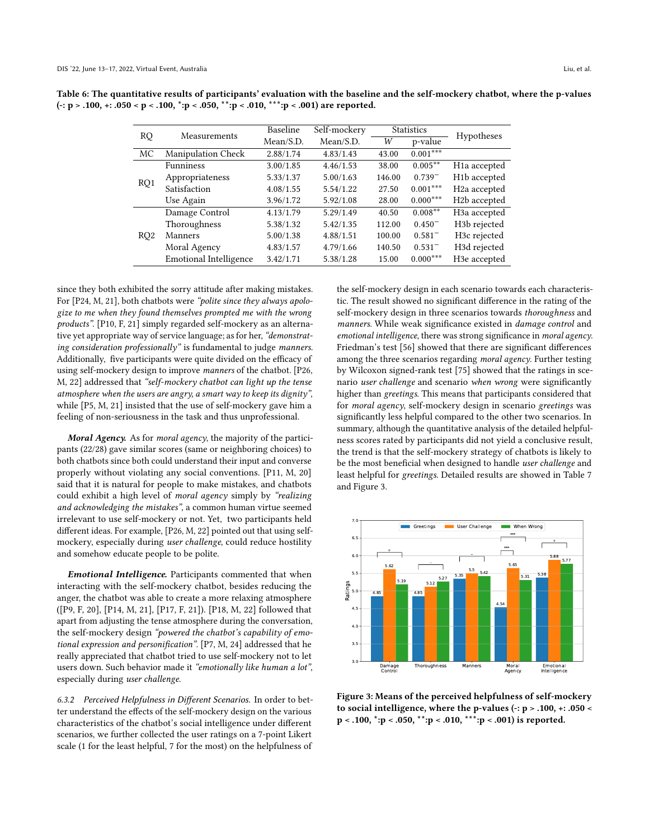| <b>RQ</b>       | Measurements              | Baseline  | Self-mockery |        | <b>Statistics</b> | Hypotheses                |  |
|-----------------|---------------------------|-----------|--------------|--------|-------------------|---------------------------|--|
|                 |                           | Mean/S.D. | Mean/S.D.    | W      | p-value           |                           |  |
| МC              | <b>Manipulation Check</b> | 2.88/1.74 | 4.83/1.43    | 43.00  | $0.001***$        |                           |  |
|                 | <b>Funniness</b>          | 3.00/1.85 | 4.46/1.53    | 38.00  | $0.005***$        | H <sub>1</sub> a accepted |  |
|                 | Appropriateness           | 5.33/1.37 | 5.00/1.63    | 146.00 | $0.739^{-}$       | H <sub>1</sub> b accepted |  |
| RQ1             | Satisfaction              | 4.08/1.55 | 5.54/1.22    | 27.50  | $0.001***$        | H <sub>2</sub> a accepted |  |
|                 | Use Again                 | 3.96/1.72 | 5.92/1.08    | 28.00  | $0.000***$        | H <sub>2</sub> b accepted |  |
|                 | Damage Control            | 4.13/1.79 | 5.29/1.49    | 40.50  | $0.008**$         | H <sub>3</sub> a accepted |  |
|                 | Thoroughness              | 5.38/1.32 | 5.42/1.35    | 112.00 | $0.450^{-}$       | H <sub>3</sub> b rejected |  |
| RQ <sub>2</sub> | Manners                   | 5.00/1.38 | 4.88/1.51    | 100.00 | $0.581^{-}$       | H <sub>3</sub> c rejected |  |
|                 | Moral Agency              | 4.83/1.57 | 4.79/1.66    | 140.50 | $0.531^{-}$       | H3d rejected              |  |
|                 | Emotional Intelligence    | 3.42/1.71 | 5.38/1.28    | 15.00  | $0.000***$        | H <sub>3</sub> e accepted |  |

<span id="page-9-0"></span>Table 6: The quantitative results of participants' evaluation with the baseline and the self-mockery chatbot, where the p-values (-: p > .100, +: .050 < p < .100, \*:p < .050, \*\*:p < .010, \*\*\*:p < .001) are reported.

since they both exhibited the sorry attitude after making mistakes. For [P24, M, 21], both chatbots were "polite since they always apologize to me when they found themselves prompted me with the wrong products". [P10, F, 21] simply regarded self-mockery as an alternative yet appropriate way of service language; as for her, "demonstrating consideration professionally" is fundamental to judge manners. Additionally, five participants were quite divided on the efficacy of using self-mockery design to improve manners of the chatbot. [P26, M, 22] addressed that "self-mockery chatbot can light up the tense atmosphere when the users are angry, a smart way to keep its dignity", while [P5, M, 21] insisted that the use of self-mockery gave him a feeling of non-seriousness in the task and thus unprofessional.

Moral Agency. As for moral agency, the majority of the participants (22/28) gave similar scores (same or neighboring choices) to both chatbots since both could understand their input and converse properly without violating any social conventions. [P11, M, 20] said that it is natural for people to make mistakes, and chatbots could exhibit a high level of moral agency simply by "realizing and acknowledging the mistakes", a common human virtue seemed irrelevant to use self-mockery or not. Yet, two participants held different ideas. For example, [P26, M, 22] pointed out that using selfmockery, especially during user challenge, could reduce hostility and somehow educate people to be polite.

Emotional Intelligence. Participants commented that when interacting with the self-mockery chatbot, besides reducing the anger, the chatbot was able to create a more relaxing atmosphere ([P9, F, 20], [P14, M, 21], [P17, F, 21]). [P18, M, 22] followed that apart from adjusting the tense atmosphere during the conversation, the self-mockery design "powered the chatbot's capability of emotional expression and personification". [P7, M, 24] addressed that he really appreciated that chatbot tried to use self-mockery not to let users down. Such behavior made it "emotionally like human a lot", especially during user challenge.

6.3.2 Perceived Helpfulness in Different Scenarios. In order to better understand the effects of the self-mockery design on the various characteristics of the chatbot's social intelligence under different scenarios, we further collected the user ratings on a 7-point Likert scale (1 for the least helpful, 7 for the most) on the helpfulness of

the self-mockery design in each scenario towards each characteristic. The result showed no significant difference in the rating of the self-mockery design in three scenarios towards thoroughness and manners. While weak significance existed in damage control and emotional intelligence, there was strong significance in moral agency. Friedman's test [\[56\]](#page-13-28) showed that there are significant differences among the three scenarios regarding moral agency. Further testing by Wilcoxon signed-rank test [\[75\]](#page-14-21) showed that the ratings in scenario user challenge and scenario when wrong were significantly higher than greetings. This means that participants considered that for moral agency, self-mockery design in scenario greetings was significantly less helpful compared to the other two scenarios. In summary, although the quantitative analysis of the detailed helpfulness scores rated by participants did not yield a conclusive result, the trend is that the self-mockery strategy of chatbots is likely to be the most beneficial when designed to handle user challenge and least helpful for greetings. Detailed results are showed in Table [7](#page-10-1) and Figure [3.](#page-9-1)

<span id="page-9-1"></span>

Figure 3: Means of the perceived helpfulness of self-mockery to social intelligence, where the p-values (-: p > .100, +: .050 < p < .100, \*:p < .050, \*\*:p < .010, \*\*\*:p < .001) is reported.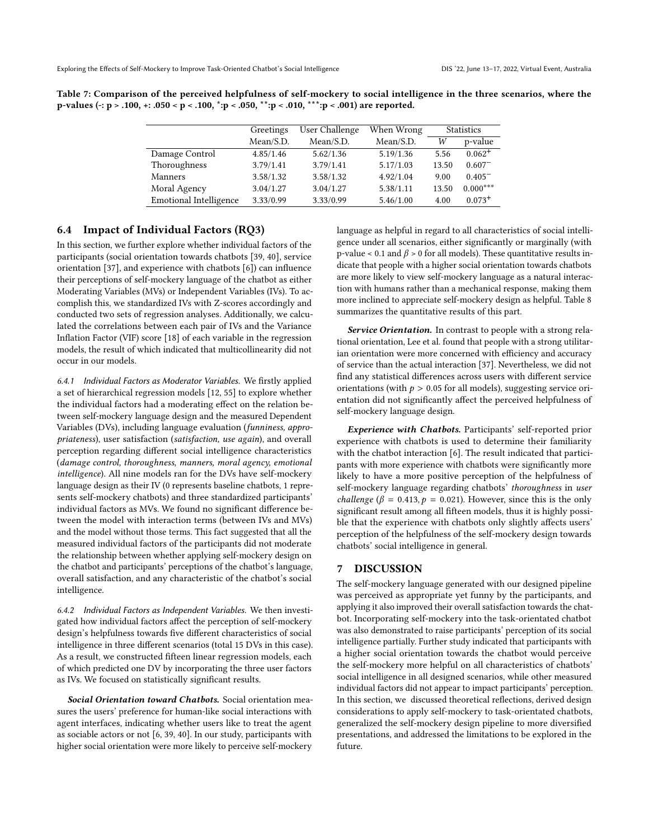|                               | Greetings | User Challenge | When Wrong | <b>Statistics</b> |             |
|-------------------------------|-----------|----------------|------------|-------------------|-------------|
|                               | Mean/S.D. | Mean/S.D.      | Mean/S.D.  | W                 | p-value     |
| Damage Control                | 4.85/1.46 | 5.62/1.36      | 5.19/1.36  | 5.56              | $0.062^{+}$ |
| Thoroughness                  | 3.79/1.41 | 3.79/1.41      | 5.17/1.03  | 13.50             | $0.607^{-}$ |
| Manners                       | 3.58/1.32 | 3.58/1.32      | 4.92/1.04  | 9.00              | $0.405^{-}$ |
| Moral Agency                  | 3.04/1.27 | 3.04/1.27      | 5.38/1.11  | 13.50             | $0.000***$  |
| <b>Emotional Intelligence</b> | 3.33/0.99 | 3.33/0.99      | 5.46/1.00  | 4.00              | $0.073+$    |

<span id="page-10-1"></span>Table 7: Comparison of the perceived helpfulness of self-mockery to social intelligence in the three scenarios, where the p-values (-: p > .100, +: .050 < p < .100, \*:p < .050, \*\*:p < .010, \*\*\*:p < .001) are reported.

#### <span id="page-10-0"></span>6.4 Impact of Individual Factors (RQ3)

In this section, we further explore whether individual factors of the participants (social orientation towards chatbots [\[39,](#page-13-9) [40\]](#page-13-0), service orientation [\[37\]](#page-13-10), and experience with chatbots [\[6\]](#page-12-0)) can influence their perceptions of self-mockery language of the chatbot as either Moderating Variables (MVs) or Independent Variables (IVs). To accomplish this, we standardized IVs with Z-scores accordingly and conducted two sets of regression analyses. Additionally, we calculated the correlations between each pair of IVs and the Variance Inflation Factor (VIF) score [\[18\]](#page-13-29) of each variable in the regression models, the result of which indicated that multicollinearity did not occur in our models.

6.4.1 Individual Factors as Moderator Variables. We firstly applied a set of hierarchical regression models [\[12,](#page-12-13) [55\]](#page-13-30) to explore whether the individual factors had a moderating effect on the relation between self-mockery language design and the measured Dependent Variables (DVs), including language evaluation (funniness, appropriateness), user satisfaction (satisfaction, use again), and overall perception regarding different social intelligence characteristics (damage control, thoroughness, manners, moral agency, emotional intelligence). All nine models ran for the DVs have self-mockery language design as their IV (0 represents baseline chatbots, 1 represents self-mockery chatbots) and three standardized participants' individual factors as MVs. We found no significant difference between the model with interaction terms (between IVs and MVs) and the model without those terms. This fact suggested that all the measured individual factors of the participants did not moderate the relationship between whether applying self-mockery design on the chatbot and participants' perceptions of the chatbot's language, overall satisfaction, and any characteristic of the chatbot's social intelligence.

6.4.2 Individual Factors as Independent Variables. We then investigated how individual factors affect the perception of self-mockery design's helpfulness towards five different characteristics of social intelligence in three different scenarios (total 15 DVs in this case). As a result, we constructed fifteen linear regression models, each of which predicted one DV by incorporating the three user factors as IVs. We focused on statistically significant results.

Social Orientation toward Chatbots. Social orientation measures the users' preference for human-like social interactions with agent interfaces, indicating whether users like to treat the agent as sociable actors or not [\[6,](#page-12-0) [39,](#page-13-9) [40\]](#page-13-0). In our study, participants with higher social orientation were more likely to perceive self-mockery

language as helpful in regard to all characteristics of social intelligence under all scenarios, either significantly or marginally (with p-value < 0.1 and  $\beta$  > 0 for all models). These quantitative results indicate that people with a higher social orientation towards chatbots are more likely to view self-mockery language as a natural interaction with humans rather than a mechanical response, making them more inclined to appreciate self-mockery design as helpful. Table [8](#page-11-0) summarizes the quantitative results of this part.

Service Orientation. In contrast to people with a strong relational orientation, Lee et al. found that people with a strong utilitarian orientation were more concerned with efficiency and accuracy of service than the actual interaction [\[37\]](#page-13-10). Nevertheless, we did not find any statistical differences across users with different service orientations (with  $p > 0.05$  for all models), suggesting service orientation did not significantly affect the perceived helpfulness of self-mockery language design.

Experience with Chatbots. Participants' self-reported prior experience with chatbots is used to determine their familiarity with the chatbot interaction [\[6\]](#page-12-0). The result indicated that participants with more experience with chatbots were significantly more likely to have a more positive perception of the helpfulness of self-mockery language regarding chatbots' thoroughness in user *challenge* ( $\beta = 0.413$ ,  $p = 0.021$ ). However, since this is the only significant result among all fifteen models, thus it is highly possible that the experience with chatbots only slightly affects users' perception of the helpfulness of the self-mockery design towards chatbots' social intelligence in general.

#### 7 DISCUSSION

The self-mockery language generated with our designed pipeline was perceived as appropriate yet funny by the participants, and applying it also improved their overall satisfaction towards the chatbot. Incorporating self-mockery into the task-orientated chatbot was also demonstrated to raise participants' perception of its social intelligence partially. Further study indicated that participants with a higher social orientation towards the chatbot would perceive the self-mockery more helpful on all characteristics of chatbots' social intelligence in all designed scenarios, while other measured individual factors did not appear to impact participants' perception. In this section, we discussed theoretical reflections, derived design considerations to apply self-mockery to task-orientated chatbots, generalized the self-mockery design pipeline to more diversified presentations, and addressed the limitations to be explored in the future.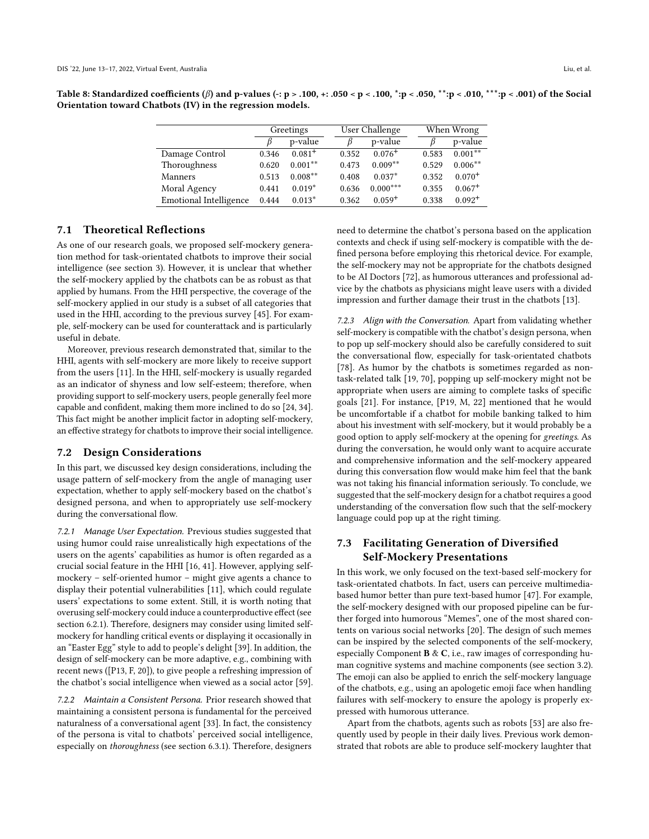<span id="page-11-0"></span>Table 8: Standardized coefficients ( $\beta$ ) and p-values (-: p > .100, +: .050 < p < .100, \*:p < .050, \*\*:p < .010, \*\*\*:p < .001) of the Social Orientation toward Chatbots (IV) in the regression models.

|                               | Greetings |             | User Challenge |             | When Wrong |             |
|-------------------------------|-----------|-------------|----------------|-------------|------------|-------------|
|                               |           | p-value     |                | p-value     |            | p-value     |
| Damage Control                | 0.346     | $0.081^{+}$ | 0.352          | $0.076^{+}$ | 0.583      | $0.001***$  |
| Thoroughness                  | 0.620     | $0.001**$   | 0.473          | $0.009**$   | 0.529      | $0.006***$  |
| Manners                       | 0.513     | $0.008***$  | 0.408          | $0.037*$    | 0.352      | $0.070^{+}$ |
| Moral Agency                  | 0.441     | $0.019*$    | 0.636          | $0.000***$  | 0.355      | $0.067+$    |
| <b>Emotional Intelligence</b> | 0.444     | $0.013*$    | 0.362          | $0.059^{+}$ | 0.338      | $0.092^{+}$ |

#### 7.1 Theoretical Reflections

As one of our research goals, we proposed self-mockery generation method for task-orientated chatbots to improve their social intelligence (see section [3\)](#page-2-2). However, it is unclear that whether the self-mockery applied by the chatbots can be as robust as that applied by humans. From the HHI perspective, the coverage of the self-mockery applied in our study is a subset of all categories that used in the HHI, according to the previous survey [\[45\]](#page-13-6). For example, self-mockery can be used for counterattack and is particularly useful in debate.

Moreover, previous research demonstrated that, similar to the HHI, agents with self-mockery are more likely to receive support from the users [\[11\]](#page-12-14). In the HHI, self-mockery is usually regarded as an indicator of shyness and low self-esteem; therefore, when providing support to self-mockery users, people generally feel more capable and confident, making them more inclined to do so [\[24,](#page-13-31) [34\]](#page-13-32). This fact might be another implicit factor in adopting self-mockery, an effective strategy for chatbots to improve their social intelligence.

#### 7.2 Design Considerations

In this part, we discussed key design considerations, including the usage pattern of self-mockery from the angle of managing user expectation, whether to apply self-mockery based on the chatbot's designed persona, and when to appropriately use self-mockery during the conversational flow.

7.2.1 Manage User Expectation. Previous studies suggested that using humor could raise unrealistically high expectations of the users on the agents' capabilities as humor is often regarded as a crucial social feature in the HHI [\[16,](#page-13-33) [41\]](#page-13-34). However, applying selfmockery – self-oriented humor – might give agents a chance to display their potential vulnerabilities [\[11\]](#page-12-14), which could regulate users' expectations to some extent. Still, it is worth noting that overusing self-mockery could induce a counterproductive effect (see section [6.2.1\)](#page-8-0). Therefore, designers may consider using limited selfmockery for handling critical events or displaying it occasionally in an "Easter Egg" style to add to people's delight [\[39\]](#page-13-9). In addition, the design of self-mockery can be more adaptive, e.g., combining with recent news ([P13, F, 20]), to give people a refreshing impression of the chatbot's social intelligence when viewed as a social actor [\[59\]](#page-14-10).

7.2.2 Maintain a Consistent Persona. Prior research showed that maintaining a consistent persona is fundamental for the perceived naturalness of a conversational agent [\[33\]](#page-13-35). In fact, the consistency of the persona is vital to chatbots' perceived social intelligence, especially on thoroughness (see section [6.3.1\)](#page-8-1). Therefore, designers

need to determine the chatbot's persona based on the application contexts and check if using self-mockery is compatible with the defined persona before employing this rhetorical device. For example, the self-mockery may not be appropriate for the chatbots designed to be AI Doctors [\[72\]](#page-14-22), as humorous utterances and professional advice by the chatbots as physicians might leave users with a divided impression and further damage their trust in the chatbots [\[13\]](#page-12-2).

7.2.3 Align with the Conversation. Apart from validating whether self-mockery is compatible with the chatbot's design persona, when to pop up self-mockery should also be carefully considered to suit the conversational flow, especially for task-orientated chatbots [\[78\]](#page-14-17). As humor by the chatbots is sometimes regarded as nontask-related talk [\[19,](#page-13-36) [70\]](#page-14-23), popping up self-mockery might not be appropriate when users are aiming to complete tasks of specific goals [\[21\]](#page-13-7). For instance, [P19, M, 22] mentioned that he would be uncomfortable if a chatbot for mobile banking talked to him about his investment with self-mockery, but it would probably be a good option to apply self-mockery at the opening for greetings. As during the conversation, he would only want to acquire accurate and comprehensive information and the self-mockery appeared during this conversation flow would make him feel that the bank was not taking his financial information seriously. To conclude, we suggested that the self-mockery design for a chatbot requires a good understanding of the conversation flow such that the self-mockery language could pop up at the right timing.

# 7.3 Facilitating Generation of Diversified Self-Mockery Presentations

In this work, we only focused on the text-based self-mockery for task-orientated chatbots. In fact, users can perceive multimediabased humor better than pure text-based humor [\[47\]](#page-13-37). For example, the self-mockery designed with our proposed pipeline can be further forged into humorous "Memes", one of the most shared contents on various social networks [\[20\]](#page-13-38). The design of such memes can be inspired by the selected components of the self-mockery, especially Component B & C, i.e., raw images of corresponding human cognitive systems and machine components (see section [3.2\)](#page-3-4). The emoji can also be applied to enrich the self-mockery language of the chatbots, e.g., using an apologetic emoji face when handling failures with self-mockery to ensure the apology is properly expressed with humorous utterance.

Apart from the chatbots, agents such as robots [\[53\]](#page-13-24) are also frequently used by people in their daily lives. Previous work demonstrated that robots are able to produce self-mockery laughter that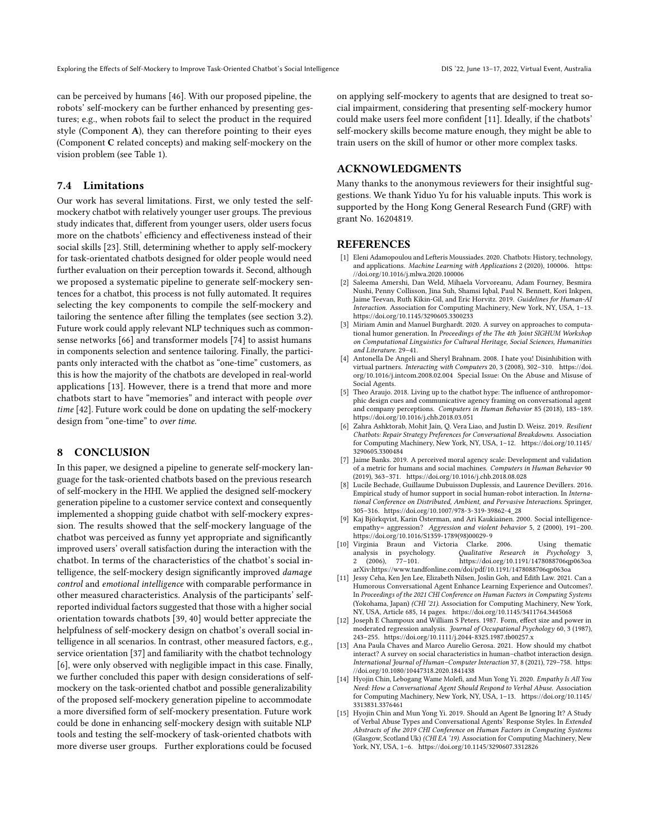can be perceived by humans [\[46\]](#page-13-4). With our proposed pipeline, the robots' self-mockery can be further enhanced by presenting gestures; e.g., when robots fail to select the product in the required style (Component A), they can therefore pointing to their eyes (Component C related concepts) and making self-mockery on the vision problem (see Table [1\)](#page-3-3).

### 7.4 Limitations

Our work has several limitations. First, we only tested the selfmockery chatbot with relatively younger user groups. The previous study indicates that, different from younger users, older users focus more on the chatbots' efficiency and effectiveness instead of their social skills [\[23\]](#page-13-39). Still, determining whether to apply self-mockery for task-orientated chatbots designed for older people would need further evaluation on their perception towards it. Second, although we proposed a systematic pipeline to generate self-mockery sentences for a chatbot, this process is not fully automated. It requires selecting the key components to compile the self-mockery and tailoring the sentence after filling the templates (see section [3.2\)](#page-3-4). Future work could apply relevant NLP techniques such as commonsense networks [\[66\]](#page-14-24) and transformer models [\[74\]](#page-14-25) to assist humans in components selection and sentence tailoring. Finally, the participants only interacted with the chatbot as "one-time" customers, as this is how the majority of the chatbots are developed in real-world applications [\[13\]](#page-12-2). However, there is a trend that more and more chatbots start to have "memories" and interact with people over time [\[42\]](#page-13-40). Future work could be done on updating the self-mockery design from "one-time" to over time.

#### 8 CONCLUSION

In this paper, we designed a pipeline to generate self-mockery language for the task-oriented chatbots based on the previous research of self-mockery in the HHI. We applied the designed self-mockery generation pipeline to a customer service context and consequently implemented a shopping guide chatbot with self-mockery expression. The results showed that the self-mockery language of the chatbot was perceived as funny yet appropriate and significantly improved users' overall satisfaction during the interaction with the chatbot. In terms of the characteristics of the chatbot's social intelligence, the self-mockery design significantly improved damage control and emotional intelligence with comparable performance in other measured characteristics. Analysis of the participants' selfreported individual factors suggested that those with a higher social orientation towards chatbots [\[39,](#page-13-9) [40\]](#page-13-0) would better appreciate the helpfulness of self-mockery design on chatbot's overall social intelligence in all scenarios. In contrast, other measured factors, e.g., service orientation [\[37\]](#page-13-10) and familiarity with the chatbot technology [\[6\]](#page-12-0), were only observed with negligible impact in this case. Finally, we further concluded this paper with design considerations of selfmockery on the task-oriented chatbot and possible generalizability of the proposed self-mockery generation pipeline to accommodate a more diversified form of self-mockery presentation. Future work could be done in enhancing self-mockery design with suitable NLP tools and testing the self-mockery of task-oriented chatbots with more diverse user groups. Further explorations could be focused

on applying self-mockery to agents that are designed to treat social impairment, considering that presenting self-mockery humor could make users feel more confident [\[11\]](#page-12-14). Ideally, if the chatbots' self-mockery skills become mature enough, they might be able to train users on the skill of humor or other more complex tasks.

# ACKNOWLEDGMENTS

Many thanks to the anonymous reviewers for their insightful suggestions. We thank Yiduo Yu for his valuable inputs. This work is supported by the Hong Kong General Research Fund (GRF) with grant No. 16204819.

### **REFERENCES**

- <span id="page-12-1"></span>[1] Eleni Adamopoulou and Lefteris Moussiades. 2020. Chatbots: History, technology, and applications. Machine Learning with Applications 2 (2020), 100006. [https:](https://doi.org/10.1016/j.mlwa.2020.100006) [//doi.org/10.1016/j.mlwa.2020.100006](https://doi.org/10.1016/j.mlwa.2020.100006)
- <span id="page-12-9"></span>[2] Saleema Amershi, Dan Weld, Mihaela Vorvoreanu, Adam Fourney, Besmira Nushi, Penny Collisson, Jina Suh, Shamsi Iqbal, Paul N. Bennett, Kori Inkpen, Jaime Teevan, Ruth Kikin-Gil, and Eric Horvitz. 2019. Guidelines for Human-AI Interaction. Association for Computing Machinery, New York, NY, USA, 1–13. <https://doi.org/10.1145/3290605.3300233>
- <span id="page-12-11"></span>[3] Miriam Amin and Manuel Burghardt. 2020. A survey on approaches to computational humor generation. In Proceedings of the The 4th Joint SIGHUM Workshop on Computational Linguistics for Cultural Heritage, Social Sciences, Humanities and Literature. 29–41.
- <span id="page-12-3"></span>[4] Antonella De Angeli and Sheryl Brahnam. 2008. I hate you! Disinhibition with virtual partners. Interacting with Computers 20, 3 (2008), 302–310. [https://doi.](https://doi.org/10.1016/j.intcom.2008.02.004) [org/10.1016/j.intcom.2008.02.004](https://doi.org/10.1016/j.intcom.2008.02.004) Special Issue: On the Abuse and Misuse of Social Agents.
- <span id="page-12-8"></span>[5] Theo Araujo. 2018. Living up to the chatbot hype: The influence of anthropomorphic design cues and communicative agency framing on conversational agent and company perceptions. Computers in Human Behavior 85 (2018), 183–189. <https://doi.org/10.1016/j.chb.2018.03.051>
- <span id="page-12-0"></span>[6] Zahra Ashktorab, Mohit Jain, Q. Vera Liao, and Justin D. Weisz. 2019. Resilient Chatbots: Repair Strategy Preferences for Conversational Breakdowns. Association for Computing Machinery, New York, NY, USA, 1–12. [https://doi.org/10.1145/](https://doi.org/10.1145/3290605.3300484) [3290605.3300484](https://doi.org/10.1145/3290605.3300484)
- <span id="page-12-10"></span>[7] Jaime Banks. 2019. A perceived moral agency scale: Development and validation of a metric for humans and social machines. Computers in Human Behavior 90 (2019), 363–371.<https://doi.org/10.1016/j.chb.2018.08.028>
- <span id="page-12-7"></span>[8] Lucile Bechade, Guillaume Dubuisson Duplessis, and Laurence Devillers. 2016. Empirical study of humor support in social human-robot interaction. In International Conference on Distributed, Ambient, and Pervasive Interactions. Springer, 305–316. [https://doi.org/10.1007/978-3-319-39862-4\\_28](https://doi.org/10.1007/978-3-319-39862-4_28)
- <span id="page-12-6"></span>[9] Kaj Björkqvist, Karin Österman, and Ari Kaukiainen. 2000. Social intelligenceempathy= aggression? Aggression and violent behavior 5, 2 (2000), 191–200. [https://doi.org/10.1016/S1359-1789\(98\)00029-9](https://doi.org/10.1016/S1359-1789(98)00029-9)
- <span id="page-12-12"></span>[10] Virginia Braun and Victoria Clarke. 2006. Using thematic analysis in psychology. <br>
2 (2006), 77–101. <br>
https://doi.org/10.1191/1478088706qp063oa 2 (2006), 77–101.<https://doi.org/10.1191/1478088706qp063oa> arXiv[:https://www.tandfonline.com/doi/pdf/10.1191/1478088706qp063oa](https://arxiv.org/abs/https://www.tandfonline.com/doi/pdf/10.1191/1478088706qp063oa)
- <span id="page-12-14"></span>[11] Jessy Ceha, Ken Jen Lee, Elizabeth Nilsen, Joslin Goh, and Edith Law. 2021. Can a Humorous Conversational Agent Enhance Learning Experience and Outcomes?. In Proceedings of the 2021 CHI Conference on Human Factors in Computing Systems (Yokohama, Japan) (CHI '21). Association for Computing Machinery, New York, NY, USA, Article 685, 14 pages.<https://doi.org/10.1145/3411764.3445068>
- <span id="page-12-13"></span>[12] Joseph E Champoux and William S Peters. 1987. Form, effect size and power in moderated regression analysis. Journal of Occupational Psychology 60, 3 (1987), 243–255.<https://doi.org/10.1111/j.2044-8325.1987.tb00257.x>
- <span id="page-12-2"></span>[13] Ana Paula Chaves and Marco Aurelio Gerosa. 2021. How should my chatbot interact? A survey on social characteristics in human–chatbot interaction design. International Journal of Human–Computer Interaction 37, 8 (2021), 729–758. [https:](https://doi.org/10.1080/10447318.2020.1841438) [//doi.org/10.1080/10447318.2020.1841438](https://doi.org/10.1080/10447318.2020.1841438)
- <span id="page-12-4"></span>[14] Hyojin Chin, Lebogang Wame Molefi, and Mun Yong Yi. 2020. Empathy Is All You Need: How a Conversational Agent Should Respond to Verbal Abuse. Association for Computing Machinery, New York, NY, USA, 1–13. [https://doi.org/10.1145/](https://doi.org/10.1145/3313831.3376461) [3313831.3376461](https://doi.org/10.1145/3313831.3376461)
- <span id="page-12-5"></span>[15] Hyojin Chin and Mun Yong Yi. 2019. Should an Agent Be Ignoring It? A Study of Verbal Abuse Types and Conversational Agents' Response Styles. In Extended Abstracts of the 2019 CHI Conference on Human Factors in Computing Systems (Glasgow, Scotland Uk) (CHI EA '19). Association for Computing Machinery, New York, NY, USA, 1–6.<https://doi.org/10.1145/3290607.3312826>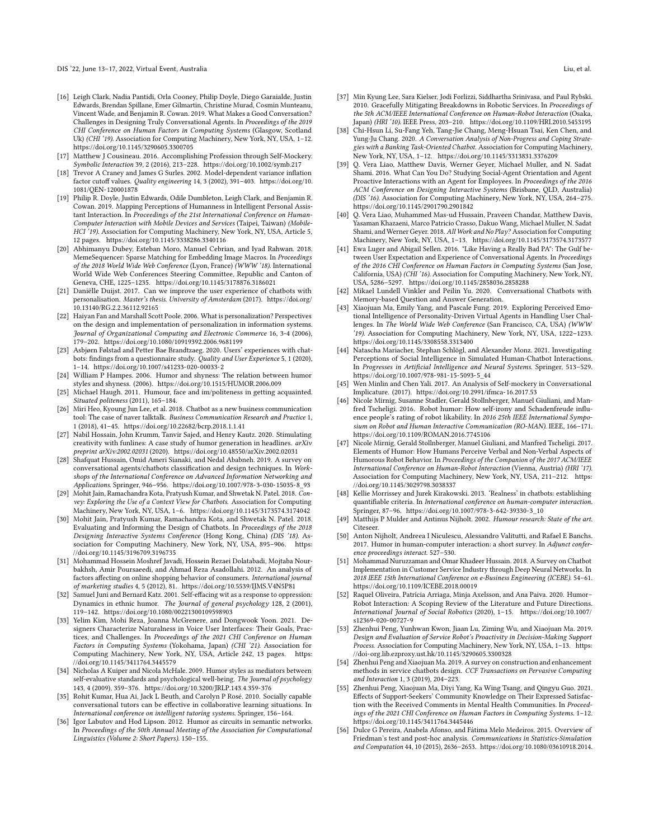- <span id="page-13-33"></span>[16] Leigh Clark, Nadia Pantidi, Orla Cooney, Philip Doyle, Diego Garaialde, Justin Edwards, Brendan Spillane, Emer Gilmartin, Christine Murad, Cosmin Munteanu, Vincent Wade, and Benjamin R. Cowan. 2019. What Makes a Good Conversation? Challenges in Designing Truly Conversational Agents. In Proceedings of the 2019 CHI Conference on Human Factors in Computing Systems (Glasgow, Scotland Uk) (CHI '19). Association for Computing Machinery, New York, NY, USA, 1–12. <https://doi.org/10.1145/3290605.3300705>
- <span id="page-13-26"></span>[17] Matthew J Cousineau. 2016. Accomplishing Profession through Self-Mockery. Symbolic Interaction 39, 2 (2016), 213–228.<https://doi.org/10.1002/symb.217>
- <span id="page-13-29"></span>[18] Trevor A Craney and James G Surles. 2002. Model-dependent variance inflation factor cutoff values. Quality engineering 14, 3 (2002), 391–403. [https://doi.org/10.](https://doi.org/10.1081/QEN-120001878) [1081/QEN-120001878](https://doi.org/10.1081/QEN-120001878)
- <span id="page-13-36"></span>[19] Philip R. Doyle, Justin Edwards, Odile Dumbleton, Leigh Clark, and Benjamin R. Cowan. 2019. Mapping Perceptions of Humanness in Intelligent Personal Assistant Interaction. In Proceedings of the 21st International Conference on Human-Computer Interaction with Mobile Devices and Services (Taipei, Taiwan) (Mobile-HCI<sup>'</sup>19). Association for Computing Machinery, New York, NY, USA, Article 5, 12 pages.<https://doi.org/10.1145/3338286.3340116>
- <span id="page-13-38"></span>[20] Abhimanyu Dubey, Esteban Moro, Manuel Cebrian, and Iyad Rahwan. 2018. MemeSequencer: Sparse Matching for Embedding Image Macros. In Proceedings of the 2018 World Wide Web Conference (Lyon, France) (WWW '18). International World Wide Web Conferences Steering Committee, Republic and Canton of Geneva, CHE, 1225–1235.<https://doi.org/10.1145/3178876.3186021>
- <span id="page-13-7"></span>[21] Daniëlle Duijst. 2017. Can we improve the user experience of chatbots with personalisation. Master's thesis. University of Amsterdam (2017). [https://doi.org/](https://doi.org/10.13140/RG.2.2.36112.92165) [10.13140/RG.2.2.36112.92165](https://doi.org/10.13140/RG.2.2.36112.92165)
- <span id="page-13-12"></span>[22] Haiyan Fan and Marshall Scott Poole. 2006. What is personalization? Perspectives on the design and implementation of personalization in information systems. Journal of Organizational Computing and Electronic Commerce 16, 3-4 (2006), 179–202.<https://doi.org/10.1080/10919392.2006.9681199>
- <span id="page-13-39"></span>[23] Asbjørn Følstad and Petter Bae Brandtzaeg. 2020. Users' experiences with chatbots: findings from a questionnaire study. Quality and User Experience 5, 1 (2020), 1–14.<https://doi.org/10.1007/s41233-020-00033-2>
- <span id="page-13-31"></span>[24] William P Hampes. 2006. Humor and shyness: The relation between humor styles and shyness. (2006).<https://doi.org/10.1515/HUMOR.2006.009>
- <span id="page-13-15"></span>[25] Michael Haugh. 2011. Humour, face and im/politeness in getting acquainted. Situated politeness (2011), 165–184.
- <span id="page-13-17"></span>[26] Miri Heo, Kyoung Jun Lee, et al. 2018. Chatbot as a new business communication tool: The case of naver talktalk. Business Communication Research and Practice 1, 1 (2018), 41–45.<https://doi.org/10.22682/bcrp.2018.1.1.41>
- <span id="page-13-20"></span>[27] Nabil Hossain, John Krumm, Tanvir Sajed, and Henry Kautz. 2020. Stimulating creativity with funlines: A case study of humor generation in headlines. arXiv preprint arXiv:2002.02031 (2020).<https://doi.org/10.48550/arXiv.2002.02031>
- <span id="page-13-1"></span>[28] Shafquat Hussain, Omid Ameri Sianaki, and Nedal Ababneh. 2019. A survey on conversational agents/chatbots classification and design techniques. In Workshops of the International Conference on Advanced Information Networking and Applications. Springer, 946–956. [https://doi.org/10.1007/978-3-030-15035-8\\_93](https://doi.org/10.1007/978-3-030-15035-8_93)
- <span id="page-13-8"></span>[29] Mohit Jain, Ramachandra Kota, Pratyush Kumar, and Shwetak N. Patel. 2018. Convey: Exploring the Use of a Context View for Chatbots. Association for Computing Machinery, New York, NY, USA, 1–6.<https://doi.org/10.1145/3173574.3174042>
- <span id="page-13-25"></span>[30] Mohit Jain, Pratyush Kumar, Ramachandra Kota, and Shwetak N. Patel. 2018. Evaluating and Informing the Design of Chatbots. In Proceedings of the 2018 Designing Interactive Systems Conference (Hong Kong, China) (DIS '18). Association for Computing Machinery, New York, NY, USA, 895–906. [https:](https://doi.org/10.1145/3196709.3196735) [//doi.org/10.1145/3196709.3196735](https://doi.org/10.1145/3196709.3196735)
- <span id="page-13-27"></span>[31] Mohammad Hossein Moshref Javadi, Hossein Rezaei Dolatabadi, Mojtaba Nourbakhsh, Amir Poursaeedi, and Ahmad Reza Asadollahi. 2012. An analysis of factors affecting on online shopping behavior of consumers. International journal of marketing studies 4, 5 (2012), 81.<https://doi.org/10.5539/IJMS.V4N5P81>
- <span id="page-13-23"></span>[32] Samuel Juni and Bernard Katz. 2001. Self-effacing wit as a response to oppression: Dynamics in ethnic humor. The Journal of general psychology 128, 2 (2001), 119–142.<https://doi.org/10.1080/00221300109598903>
- <span id="page-13-35"></span>[33] Yelim Kim, Mohi Reza, Joanna McGrenere, and Dongwook Yoon. 2021. Designers Characterize Naturalness in Voice User Interfaces: Their Goals, Practices, and Challenges. In Proceedings of the 2021 CHI Conference on Human Factors in Computing Systems (Yokohama, Japan) (CHI '21). Association for Computing Machinery, New York, NY, USA, Article 242, 13 pages. [https:](https://doi.org/10.1145/3411764.3445579) [//doi.org/10.1145/3411764.3445579](https://doi.org/10.1145/3411764.3445579)
- <span id="page-13-32"></span>[34] Nicholas A Kuiper and Nicola McHale. 2009. Humor styles as mediators between self-evaluative standards and psychological well-being. The Journal of psychology 143, 4 (2009), 359–376.<https://doi.org/10.3200/JRLP.143.4.359-376>
- <span id="page-13-13"></span>[35] Rohit Kumar, Hua Ai, Jack L Beuth, and Carolyn P Rosé. 2010. Socially capable conversational tutors can be effective in collaborative learning situations. In International conference on intelligent tutoring systems. Springer, 156–164.
- <span id="page-13-21"></span>[36] Igor Labutov and Hod Lipson. 2012. Humor as circuits in semantic networks. In Proceedings of the 50th Annual Meeting of the Association for Computational Linguistics (Volume 2: Short Papers). 150–155.
- <span id="page-13-10"></span>[37] Min Kyung Lee, Sara Kielser, Jodi Forlizzi, Siddhartha Srinivasa, and Paul Rybski. 2010. Gracefully Mitigating Breakdowns in Robotic Services. In Proceedings of the 5th ACM/IEEE International Conference on Human-Robot Interaction (Osaka, Japan) (HRI '10). IEEE Press, 203–210.<https://doi.org/10.1109/HRI.2010.5453195>
- <span id="page-13-3"></span>[38] Chi-Hsun Li, Su-Fang Yeh, Tang-Jie Chang, Meng-Hsuan Tsai, Ken Chen, and Yung-Ju Chang. 2020. A Conversation Analysis of Non-Progress and Coping Strategies with a Banking Task-Oriented Chatbot. Association for Computing Machinery, New York, NY, USA, 1–12.<https://doi.org/10.1145/3313831.3376209>
- <span id="page-13-9"></span>[39] Q. Vera Liao, Matthew Davis, Werner Geyer, Michael Muller, and N. Sadat Shami. 2016. What Can You Do? Studying Social-Agent Orientation and Agent Proactive Interactions with an Agent for Employees. In Proceedings of the 2016 ACM Conference on Designing Interactive Systems (Brisbane, QLD, Australia) (DIS '16). Association for Computing Machinery, New York, NY, USA, 264–275. <https://doi.org/10.1145/2901790.2901842>
- <span id="page-13-0"></span>[40] Q. Vera Liao, Muhammed Mas-ud Hussain, Praveen Chandar, Matthew Davis, Yasaman Khazaeni, Marco Patricio Crasso, Dakuo Wang, Michael Muller, N. Sadat Shami, and Werner Geyer. 2018. All Work and No Play? Association for Computing Machinery, New York, NY, USA, 1–13.<https://doi.org/10.1145/3173574.3173577>
- <span id="page-13-34"></span>[41] Ewa Luger and Abigail Sellen. 2016. "Like Having a Really Bad PA": The Gulf between User Expectation and Experience of Conversational Agents. In Proceedings of the 2016 CHI Conference on Human Factors in Computing Systems (San Jose, California, USA) (CHI '16). Association for Computing Machinery, New York, NY, USA, 5286–5297.<https://doi.org/10.1145/2858036.2858288>
- <span id="page-13-40"></span>[42] Mikael Lundell Vinkler and Peilin Yu. 2020. Conversational Chatbots with Memory-based Question and Answer Generation.
- <span id="page-13-2"></span>[43] Xiaojuan Ma, Emily Yang, and Pascale Fung. 2019. Exploring Perceived Emotional Intelligence of Personality-Driven Virtual Agents in Handling User Challenges. In The World Wide Web Conference (San Francisco, CA, USA) (WWW '19). Association for Computing Machinery, New York, NY, USA, 1222–1233. <https://doi.org/10.1145/3308558.3313400>
- <span id="page-13-14"></span>[44] Natascha Mariacher, Stephan Schlögl, and Alexander Monz. 2021. Investigating Perceptions of Social Intelligence in Simulated Human-Chatbot Interactions. In Progresses in Artificial Intelligence and Neural Systems. Springer, 513–529. [https://doi.org/10.1007/978-981-15-5093-5\\_44](https://doi.org/10.1007/978-981-15-5093-5_44)
- <span id="page-13-6"></span>[45] Wen Minlin and Chen Yali. 2017. An Analysis of Self-mockery in Conversational Implicature. (2017).<https://doi.org/10.2991/ifmca-16.2017.53>
- <span id="page-13-4"></span>[46] Nicole Mirnig, Susanne Stadler, Gerald Stollnberger, Manuel Giuliani, and Manfred Tscheligi. 2016. Robot humor: How self-irony and Schadenfreude influence people's rating of robot likability. In 2016 25th IEEE International Symposium on Robot and Human Interactive Communication (RO-MAN). IEEE, 166–171. <https://doi.org/10.1109/ROMAN.2016.7745106>
- <span id="page-13-37"></span>[47] Nicole Mirnig, Gerald Stollnberger, Manuel Giuliani, and Manfred Tscheligi. 2017. Elements of Humor: How Humans Perceive Verbal and Non-Verbal Aspects of Humorous Robot Behavior. In Proceedings of the Companion of the 2017 ACM/IEEE International Conference on Human-Robot Interaction (Vienna, Austria) (HRI '17). Association for Computing Machinery, New York, NY, USA, 211–212. [https:](https://doi.org/10.1145/3029798.3038337) [//doi.org/10.1145/3029798.3038337](https://doi.org/10.1145/3029798.3038337)
- <span id="page-13-11"></span>[48] Kellie Morrissey and Jurek Kirakowski. 2013. 'Realness' in chatbots: establishing quantifiable criteria. In International conference on human-computer interaction. Springer, 87–96. [https://doi.org/10.1007/978-3-642-39330-3\\_10](https://doi.org/10.1007/978-3-642-39330-3_10)
- <span id="page-13-16"></span>[49] Matthijs P Mulder and Antinus Nijholt. 2002. Humour research: State of the art. Citeseer.
- <span id="page-13-22"></span>[50] Anton Nijholt, Andreea I Niculescu, Alessandro Valitutti, and Rafael E Banchs. 2017. Humor in human-computer interaction: a short survey. In Adjunct conference proceedings interact. 527–530.
- <span id="page-13-18"></span>[51] Mohammad Nuruzzaman and Omar Khadeer Hussain. 2018. A Survey on Chatbot Implementation in Customer Service Industry through Deep Neural Networks. In 2018 IEEE 15th International Conference on e-Business Engineering (ICEBE). 54–61. <https://doi.org/10.1109/ICEBE.2018.00019>
- <span id="page-13-5"></span>[52] Raquel Oliveira, Patrícia Arriaga, Minja Axelsson, and Ana Paiva. 2020. Humor– Robot Interaction: A Scoping Review of the Literature and Future Directions. International Journal of Social Robotics (2020), 1–15. [https://doi.org/10.1007/](https://doi.org/10.1007/s12369-020-00727-9) [s12369-020-00727-9](https://doi.org/10.1007/s12369-020-00727-9)
- <span id="page-13-24"></span>[53] Zhenhui Peng, Yunhwan Kwon, Jiaan Lu, Ziming Wu, and Xiaojuan Ma. 2019. Design and Evaluation of Service Robot's Proactivity in Decision-Making Support Process. Association for Computing Machinery, New York, NY, USA, 1–13. [https:](https://doi-org.lib.ezproxy.ust.hk/10.1145/3290605.3300328) [//doi-org.lib.ezproxy.ust.hk/10.1145/3290605.3300328](https://doi-org.lib.ezproxy.ust.hk/10.1145/3290605.3300328)
- <span id="page-13-19"></span>[54] Zhenhui Peng and Xiaojuan Ma. 2019. A survey on construction and enhancement methods in service chatbots design. CCF Transactions on Pervasive Computing and Interaction 1, 3 (2019), 204–223.
- <span id="page-13-30"></span>[55] Zhenhui Peng, Xiaojuan Ma, Diyi Yang, Ka Wing Tsang, and Qingyu Guo. 2021. Effects of Support-Seekers' Community Knowledge on Their Expressed Satisfaction with the Received Comments in Mental Health Communities. In Proceedings of the 2021 CHI Conference on Human Factors in Computing Systems. 1–12. <https://doi.org/10.1145/3411764.3445446>
- <span id="page-13-28"></span>[56] Dulce G Pereira, Anabela Afonso, and Fátima Melo Medeiros. 2015. Overview of Friedman's test and post-hoc analysis. Communications in Statistics-Simulation and Computation 44, 10 (2015), 2636–2653. [https://doi.org/10.1080/03610918.2014.](https://doi.org/10.1080/03610918.2014.931971)